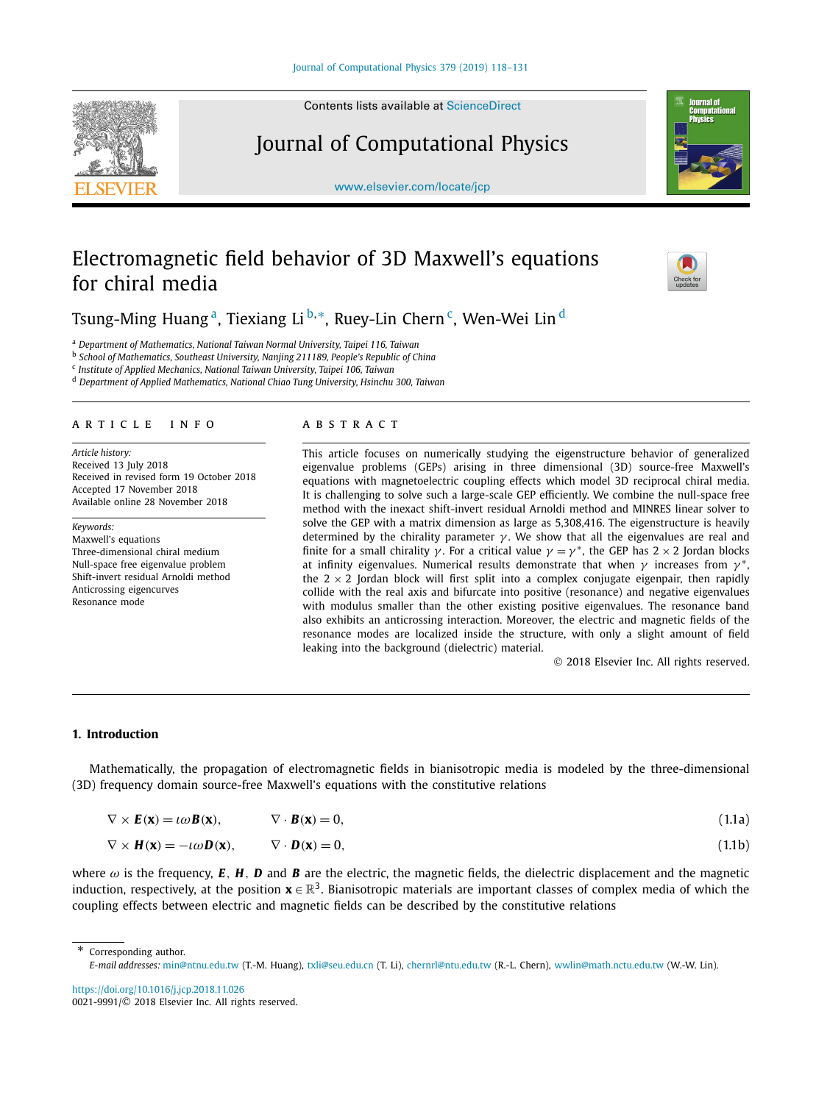<span id="page-0-0"></span>

Contents lists available at [ScienceDirect](http://www.ScienceDirect.com/)

# Journal of Computational Physics

[www.elsevier.com/locate/jcp](http://www.elsevier.com/locate/jcp)



# Electromagnetic field behavior of 3D Maxwell's equations for chiral media

Tsung-Ming Huang<sup>a</sup>, Tiexiang Li<sup>b,∗</sup>, Ruey-Lin Chern<sup>c</sup>, Wen-Wei Lin<sup>d</sup>

<sup>a</sup> *Department of Mathematics, National Taiwan Normal University, Taipei 116, Taiwan*

<sup>b</sup> *School of Mathematics, Southeast University, Nanjing 211189, People's Republic of China*

<sup>c</sup> *Institute of Applied Mechanics, National Taiwan University, Taipei 106, Taiwan*

<sup>d</sup> *Department of Applied Mathematics, National Chiao Tung University, Hsinchu 300, Taiwan*

#### A R T I C L E IN F O A B S T R A C T

*Article history:* Received 13 July 2018 Received in revised form 19 October 2018 Accepted 17 November 2018 Available online 28 November 2018

*Keywords:* Maxwell's equations Three-dimensional chiral medium Null-space free eigenvalue problem Shift-invert residual Arnoldi method Anticrossing eigencurves Resonance mode

This article focuses on numerically studying the eigenstructure behavior of generalized eigenvalue problems (GEPs) arising in three dimensional (3D) source-free Maxwell's equations with magnetoelectric coupling effects which model 3D reciprocal chiral media. It is challenging to solve such a large-scale GEP efficiently. We combine the null-space free method with the inexact shift-invert residual Arnoldi method and MINRES linear solver to solve the GEP with a matrix dimension as large as 5,308,416. The eigenstructure is heavily determined by the chirality parameter  $\gamma$ . We show that all the eigenvalues are real and finite for a small chirality *γ*. For a critical value  $\gamma = \gamma^*$ , the GEP has  $2 \times 2$  Jordan blocks at infinity eigenvalues. Numerical results demonstrate that when *γ* increases from *γ* <sup>∗</sup>, the  $2 \times 2$  Jordan block will first split into a complex conjugate eigenpair, then rapidly collide with the real axis and bifurcate into positive (resonance) and negative eigenvalues with modulus smaller than the other existing positive eigenvalues. The resonance band also exhibits an anticrossing interaction. Moreover, the electric and magnetic fields of the resonance modes are localized inside the structure, with only a slight amount of field leaking into the background (dielectric) material.

© 2018 Elsevier Inc. All rights reserved.

# **1. Introduction**

Mathematically, the propagation of electromagnetic fields in bianisotropic media is modeled by the three-dimensional (3D) frequency domain source-free Maxwell's equations with the constitutive relations

|  | $\nabla \times \mathbf{H}(\mathbf{x}) = -\iota \omega \mathbf{D}(\mathbf{x}),$ | $\nabla \cdot \mathbf{D}(\mathbf{x}) = 0,$ |  | (1.1b) |
|--|--------------------------------------------------------------------------------|--------------------------------------------|--|--------|
|--|--------------------------------------------------------------------------------|--------------------------------------------|--|--------|

where  $\omega$  is the frequency, **E**, **H**, **D** and **B** are the electric, the magnetic fields, the dielectric displacement and the magnetic induction, respectively, at the position  $\mathbf{x} \in \mathbb{R}^3$ . Bianisotropic materials are important classes of complex media of which the coupling effects between electric and magnetic fields can be described by the constitutive relations

Corresponding author.

<https://doi.org/10.1016/j.jcp.2018.11.026> 0021-9991/© 2018 Elsevier Inc. All rights reserved.

*E-mail addresses:* [min@ntnu.edu.tw](mailto:min@ntnu.edu.tw) (T.-M. Huang), [txli@seu.edu.cn](mailto:txli@seu.edu.cn) (T. Li), [chernrl@ntu.edu.tw](mailto:chernrl@ntu.edu.tw) (R.-L. Chern), [wwlin@math.nctu.edu.tw](mailto:wwlin@math.nctu.edu.tw) (W.-W. Lin).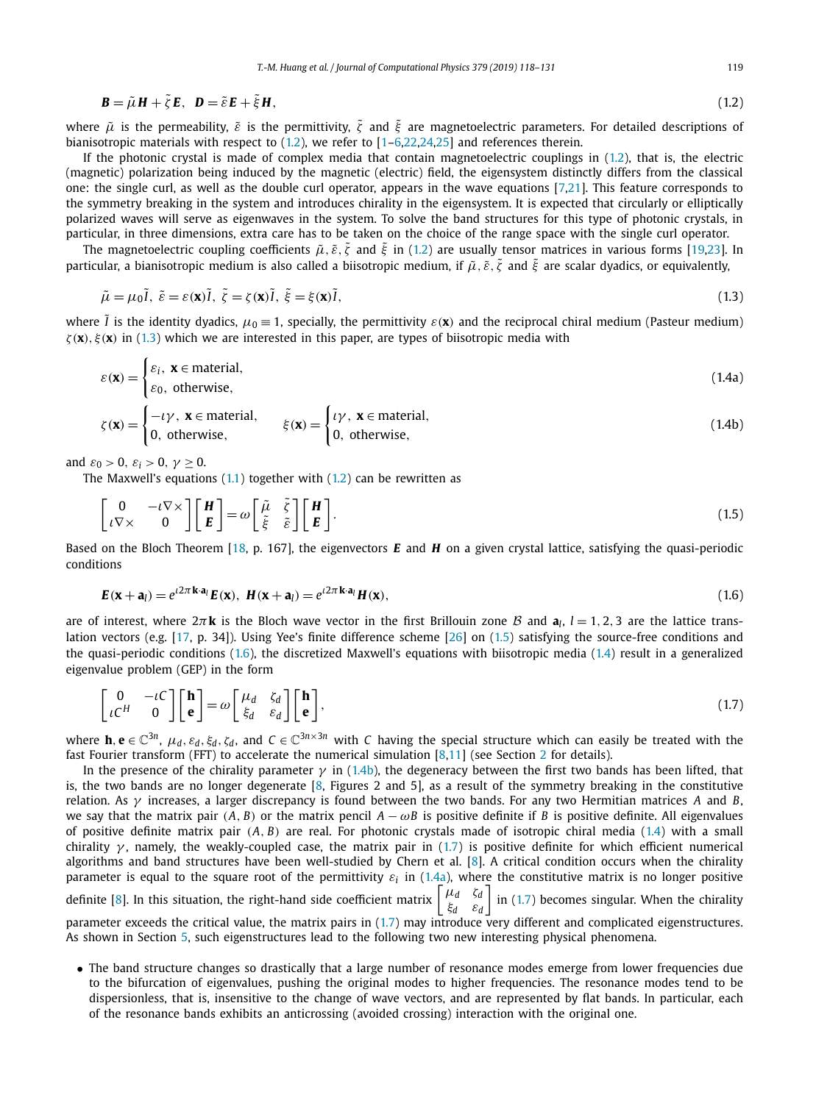<span id="page-1-0"></span>
$$
\mathbf{B} = \tilde{\mu}\mathbf{H} + \tilde{\zeta}\mathbf{E}, \quad \mathbf{D} = \tilde{\varepsilon}\mathbf{E} + \tilde{\xi}\mathbf{H},\tag{1.2}
$$

where  $\tilde{\mu}$  is the permeability,  $\tilde{\varepsilon}$  is the permittivity,  $\tilde{\varepsilon}$  and  $\tilde{\varepsilon}$  are magnetoelectric parameters. For detailed descriptions of bianisotropic materials with respect to (1.2), we refer to [\[1–6,22,24,25\]](#page-13-0) and references therein.

If the photonic crystal is made of complex media that contain magnetoelectric couplings in (1.2), that is, the electric (magnetic) polarization being induced by the magnetic (electric) field, the eigensystem distinctly differs from the classical one: the single curl, as well as the double curl operator, appears in the wave equations [\[7,21\]](#page-13-0). This feature corresponds to the symmetry breaking in the system and introduces chirality in the eigensystem. It is expected that circularly or elliptically polarized waves will serve as eigenwaves in the system. To solve the band structures for this type of photonic crystals, in particular, in three dimensions, extra care has to be taken on the choice of the range space with the single curl operator.

The magnetoelectric coupling coefficients  $\tilde{\mu}$ ,  $\tilde{\varepsilon}$ ,  $\tilde{\zeta}$  and  $\tilde{\xi}$  in (1.2) are usually tensor matrices in various forms [\[19,23\]](#page-13-0). In particular, <sup>a</sup> bianisotropic medium is also called <sup>a</sup> biisotropic medium, if *μ*˜ *, ε*˜*, ζ*˜ and *ξ*˜ are scalar dyadics, or equivalently,

$$
\tilde{\mu} = \mu_0 \tilde{I}, \ \tilde{\varepsilon} = \varepsilon(\mathbf{x}) \tilde{I}, \ \tilde{\zeta} = \zeta(\mathbf{x}) \tilde{I}, \ \tilde{\xi} = \xi(\mathbf{x}) \tilde{I}, \tag{1.3}
$$

where  $\tilde{l}$  is the identity dyadics,  $\mu_0 \equiv 1$ , specially, the permittivity  $\varepsilon(\mathbf{x})$  and the reciprocal chiral medium (Pasteur medium) *ζ(***x***), ξ(***x***)* in (1.3) which we are interested in this paper, are types of biisotropic media with

$$
\varepsilon(\mathbf{x}) = \begin{cases} \varepsilon_i, & \mathbf{x} \in \text{material}, \\ \varepsilon_0, & \text{otherwise}, \end{cases}
$$
 (1.4a)

$$
\zeta(\mathbf{x}) = \begin{cases}\n-\iota \gamma, & \mathbf{x} \in \text{material}, \\
0, & \text{otherwise},\n\end{cases} \qquad \xi(\mathbf{x}) = \begin{cases}\n\iota \gamma, & \mathbf{x} \in \text{material}, \\
0, & \text{otherwise},\n\end{cases}
$$
\n(1.4b)

and  $\varepsilon_0 > 0$ ,  $\varepsilon_i > 0$ ,  $\gamma \ge 0$ .

The Maxwell's equations  $(1.1)$  together with  $(1.2)$  can be rewritten as

$$
\begin{bmatrix} 0 & -\iota \nabla \times \\ \iota \nabla \times & 0 \end{bmatrix} \begin{bmatrix} H \\ E \end{bmatrix} = \omega \begin{bmatrix} \tilde{\mu} & \tilde{\xi} \\ \tilde{\xi} & \tilde{\epsilon} \end{bmatrix} \begin{bmatrix} H \\ E \end{bmatrix}.
$$
 (1.5)

Based on the Bloch Theorem [\[18,](#page-13-0) p. 167], the eigenvectors *E* and *H* on a given crystal lattice, satisfying the quasi-periodic conditions

$$
\boldsymbol{E}(\mathbf{x} + \mathbf{a}_l) = e^{i2\pi \mathbf{k} \cdot \mathbf{a}_l} \boldsymbol{E}(\mathbf{x}), \ \boldsymbol{H}(\mathbf{x} + \mathbf{a}_l) = e^{i2\pi \mathbf{k} \cdot \mathbf{a}_l} \boldsymbol{H}(\mathbf{x}), \tag{1.6}
$$

are of interest, where  $2\pi$ **k** is the Bloch wave vector in the first Brillouin zone B and  $\mathbf{a}_i$ ,  $l = 1, 2, 3$  are the lattice translation vectors (e.g. [\[17,](#page-13-0) p. 34]). Using Yee's finite difference scheme [\[26\]](#page-13-0) on (1.5) satisfying the source-free conditions and the quasi-periodic conditions (1.6), the discretized Maxwell's equations with biisotropic media (1.4) result in a generalized eigenvalue problem (GEP) in the form

$$
\begin{bmatrix} 0 & -\iota C \\ \iota C^H & 0 \end{bmatrix} \begin{bmatrix} \mathbf{h} \\ \mathbf{e} \end{bmatrix} = \omega \begin{bmatrix} \mu_d & \zeta_d \\ \zeta_d & \varepsilon_d \end{bmatrix} \begin{bmatrix} \mathbf{h} \\ \mathbf{e} \end{bmatrix},
$$
(1.7)

where **h**,  $e \in \mathbb{C}^{3n}$ ,  $\mu_d$ ,  $\varepsilon_d$ ,  $\xi_d$ ,  $\zeta_d$ , and  $C \in \mathbb{C}^{3n \times 3n}$  with C having the special structure which can easily be treated with the fast Fourier transform (FFT) to accelerate the numerical simulation [\[8,11\]](#page-13-0) (see Section [2](#page-2-0) for details).

In the presence of the chirality parameter  $\gamma$  in (1.4b), the degeneracy between the first two bands has been lifted, that is, the two bands are no longer degenerate [\[8,](#page-13-0) Figures 2 and 5], as a result of the symmetry breaking in the constitutive relation. As *γ* increases, a larger discrepancy is found between the two bands. For any two Hermitian matrices *A* and *B*, we say that the matrix pair  $(A, B)$  or the matrix pencil  $A - \omega B$  is positive definite if *B* is positive definite. All eigenvalues of positive definite matrix pair *(A, B)* are real. For photonic crystals made of isotropic chiral media (1.4) with a small chirality *γ* , namely, the weakly-coupled case, the matrix pair in (1.7) is positive definite for which efficient numerical algorithms and band structures have been well-studied by Chern et al. [\[8\]](#page-13-0). A critical condition occurs when the chirality parameter is equal to the square root of the permittivity  $\varepsilon_i$  in (1.4a), where the constitutive matrix is no longer positive definite [\[8\]](#page-13-0). In this situation, the right-hand side coefficient matrix *μ<sup>d</sup> ζ<sup>d</sup> ξ<sup>d</sup> ε<sup>d</sup>*  $\int$  in (1.7) becomes singular. When the chirality parameter exceeds the critical value, the matrix pairs in (1.7) may introduce very different and complicated eigenstructures. As shown in Section [5,](#page-8-0) such eigenstructures lead to the following two new interesting physical phenomena.

• The band structure changes so drastically that a large number of resonance modes emerge from lower frequencies due to the bifurcation of eigenvalues, pushing the original modes to higher frequencies. The resonance modes tend to be dispersionless, that is, insensitive to the change of wave vectors, and are represented by flat bands. In particular, each of the resonance bands exhibits an anticrossing (avoided crossing) interaction with the original one.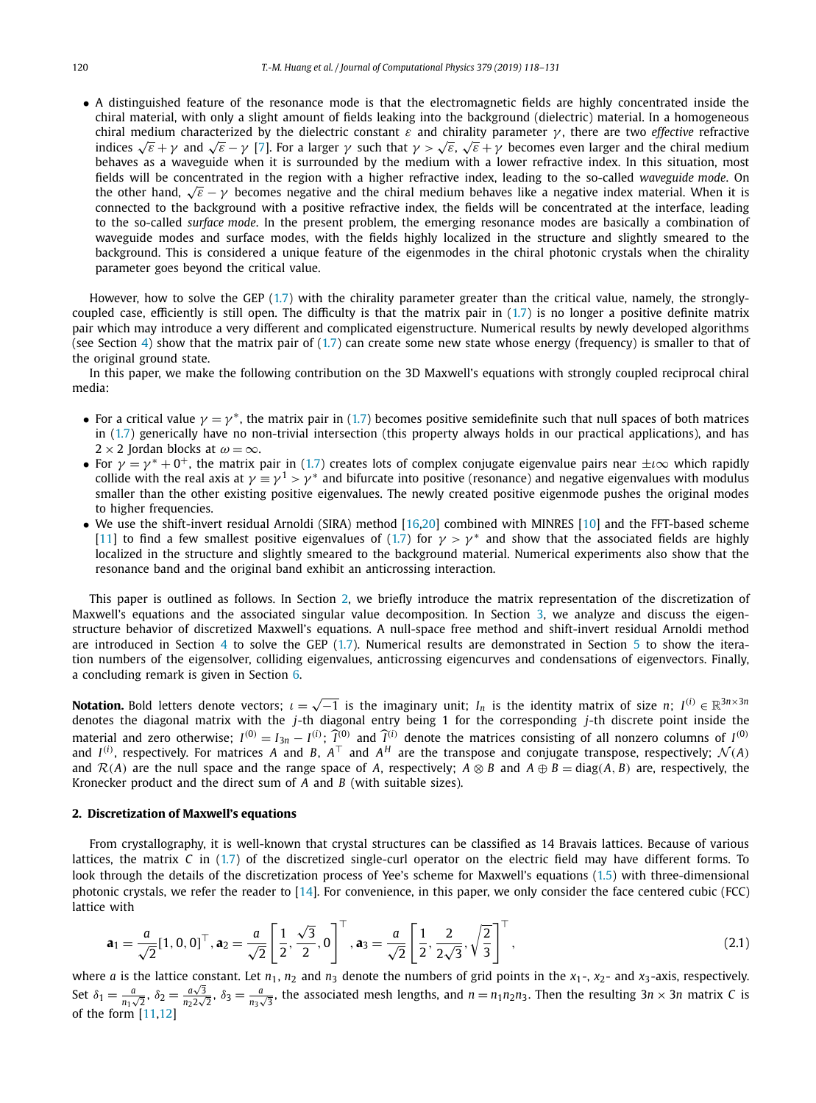<span id="page-2-0"></span>• A distinguished feature of the resonance mode is that the electromagnetic fields are highly concentrated inside the chiral material, with only a slight amount of fields leaking into the background (dielectric) material. In a homogeneous chiral medium characterized by the dielectric constant *ε* and chirality parameter *γ* , there are two *effective* refractive indices <sup>√</sup>*<sup>ε</sup>* <sup>+</sup> *<sup>γ</sup>* and <sup>√</sup>*<sup>ε</sup>* <sup>−</sup> *<sup>γ</sup>* [\[7\]](#page-13-0). For <sup>a</sup> larger *<sup>γ</sup>* such that *<sup>γ</sup> <sup>&</sup>gt;* <sup>√</sup>*ε*, <sup>√</sup>*<sup>ε</sup>* <sup>+</sup> *<sup>γ</sup>* becomes even larger and the chiral medium behaves as a waveguide when it is surrounded by the medium with a lower refractive index. In this situation, most fields will be concentrated in the region with a higher refractive index, leading to the so-called *waveguide mode*. On the other hand,  $\sqrt{\varepsilon}$  − *γ* becomes negative and the chiral medium behaves like a negative index material. When it is connected to the background with a positive refractive index, the fields will be concentrated at the interface, leading to the so-called *surface mode*. In the present problem, the emerging resonance modes are basically a combination of waveguide modes and surface modes, with the fields highly localized in the structure and slightly smeared to the background. This is considered a unique feature of the eigenmodes in the chiral photonic crystals when the chirality parameter goes beyond the critical value.

However, how to solve the GEP [\(1.7](#page-1-0)) with the chirality parameter greater than the critical value, namely, the stronglycoupled case, efficiently is still open. The difficulty is that the matrix pair in [\(1.7\)](#page-1-0) is no longer a positive definite matrix pair which may introduce a very different and complicated eigenstructure. Numerical results by newly developed algorithms (see Section [4\)](#page-6-0) show that the matrix pair of  $(1.7)$  can create some new state whose energy (frequency) is smaller to that of the original ground state.

In this paper, we make the following contribution on the 3D Maxwell's equations with strongly coupled reciprocal chiral media:

- For a critical value  $\gamma = \gamma^*$ , the matrix pair in [\(1.7\)](#page-1-0) becomes positive semidefinite such that null spaces of both matrices in [\(1.7](#page-1-0)) generically have no non-trivial intersection (this property always holds in our practical applications), and has  $2 \times 2$  Jordan blocks at  $\omega = \infty$ .
- For  $\gamma = \gamma^* + 0^+$ , the matrix pair in [\(1.7](#page-1-0)) creates lots of complex conjugate eigenvalue pairs near  $\pm i \infty$  which rapidly collide with the real axis at  $\gamma = \gamma^1 > \gamma^*$  and bifurcate into positive (resonance) and negative eigenvalues with modulus smaller than the other existing positive eigenvalues. The newly created positive eigenmode pushes the original modes to higher frequencies.
- We use the shift-invert residual Arnoldi (SIRA) method [\[16,20\]](#page-13-0) combined with MINRES [\[10\]](#page-13-0) and the FFT-based scheme [\[11\]](#page-13-0) to find a few smallest positive eigenvalues of [\(1.7\)](#page-1-0) for  $\gamma > \gamma^*$  and show that the associated fields are highly localized in the structure and slightly smeared to the background material. Numerical experiments also show that the resonance band and the original band exhibit an anticrossing interaction.

This paper is outlined as follows. In Section 2, we briefly introduce the matrix representation of the discretization of Maxwell's equations and the associated singular value decomposition. In Section [3,](#page-4-0) we analyze and discuss the eigenstructure behavior of discretized Maxwell's equations. A null-space free method and shift-invert residual Arnoldi method are introduced in Section [4](#page-6-0) to solve the GEP [\(1.7\)](#page-1-0). Numerical results are demonstrated in Section [5](#page-8-0) to show the iteration numbers of the eigensolver, colliding eigenvalues, anticrossing eigencurves and condensations of eigenvectors. Finally, a concluding remark is given in Section [6.](#page-12-0)

**Notation.** Bold letters denote vectors;  $\iota = \sqrt{-1}$  is the imaginary unit;  $I_n$  is the identity matrix of size  $n$ ;  $I^{(i)} \in \mathbb{R}^{3n \times 3n}$ denotes the diagonal matrix with the *j*-th diagonal entry being 1 for the corresponding *j*-th discrete point inside the material and zero otherwise;  $I^{(0)} = I_{3n} - I^{(i)}$ ;  $\widehat{I}^{(0)}$  and  $\widehat{I}^{(i)}$  denote the matrices consisting of all nonzero columns of  $I^{(0)}$ and  $I^{(i)}$ , respectively. For matrices *A* and *B*,  $A^{\top}$  and  $A^H$  are the transpose and conjugate transpose, respectively;  $\mathcal{N}(A)$ and  $\mathcal{R}(A)$  are the null space and the range space of *A*, respectively;  $A \otimes B$  and  $A \oplus B = \text{diag}(A, B)$  are, respectively, the Kronecker product and the direct sum of *A* and *B* (with suitable sizes).

# **2. Discretization of Maxwell's equations**

From crystallography, it is well-known that crystal structures can be classified as 14 Bravais lattices. Because of various lattices, the matrix *C* in [\(1.7\)](#page-1-0) of the discretized single-curl operator on the electric field may have different forms. To look through the details of the discretization process of Yee's scheme for Maxwell's equations [\(1.5\)](#page-1-0) with three-dimensional photonic crystals, we refer the reader to [\[14\]](#page-13-0). For convenience, in this paper, we only consider the face centered cubic (FCC) lattice with

$$
\mathbf{a}_1 = \frac{a}{\sqrt{2}} [1, 0, 0]^\top, \mathbf{a}_2 = \frac{a}{\sqrt{2}} \left[ \frac{1}{2}, \frac{\sqrt{3}}{2}, 0 \right]^\top, \mathbf{a}_3 = \frac{a}{\sqrt{2}} \left[ \frac{1}{2}, \frac{2}{2\sqrt{3}}, \sqrt{\frac{2}{3}} \right]^\top,
$$
\n(2.1)

where *a* is the lattice constant. Let  $n_1$ ,  $n_2$  and  $n_3$  denote the numbers of grid points in the  $x_1$ -,  $x_2$ - and  $x_3$ -axis, respectively. Set  $\delta_1 = \frac{a}{n_1\sqrt{2}}, \delta_2 = \frac{a\sqrt{3}}{n_2\sqrt{2}}$  $\frac{a\sqrt{3}}{n_2 2\sqrt{2}}$ ,  $\delta_3 = \frac{a}{n_3\sqrt{3}}$ , the associated mesh lengths, and  $n = n_1 n_2 n_3$ . Then the resulting  $3n \times 3n$  matrix *C* is of the form [\[11,12\]](#page-13-0)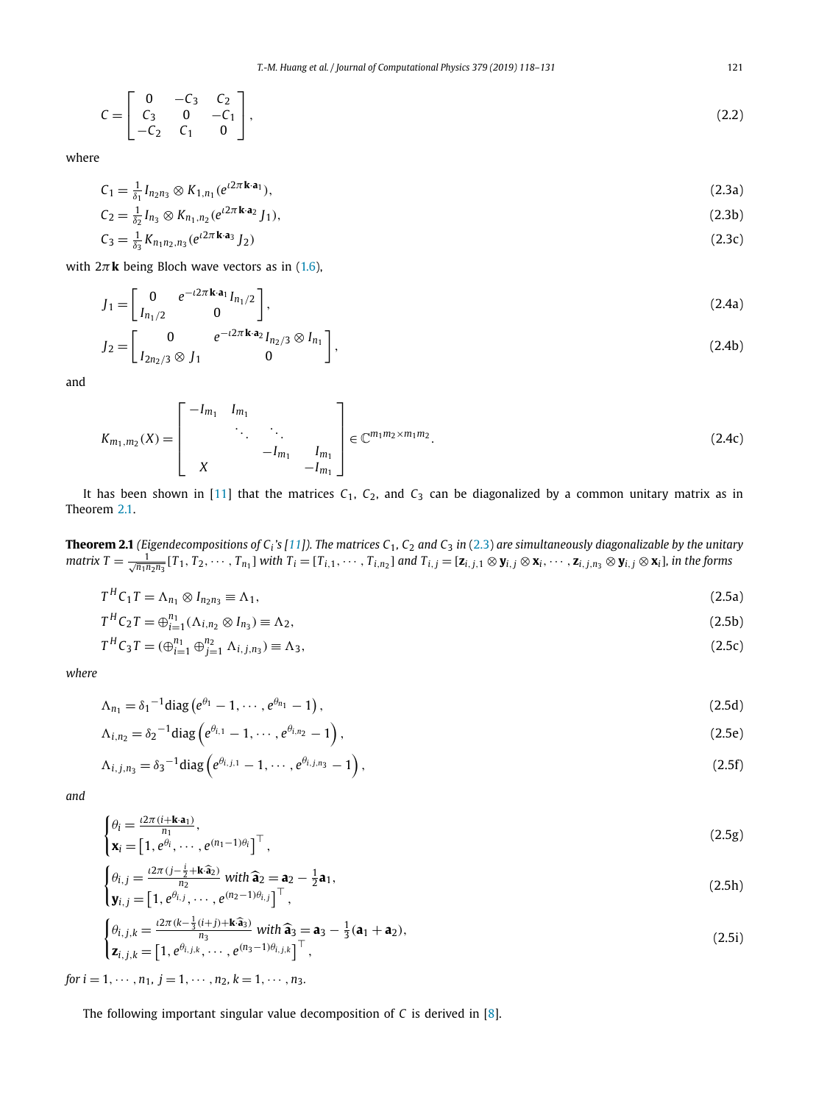<span id="page-3-0"></span>
$$
C = \begin{bmatrix} 0 & -C_3 & C_2 \\ C_3 & 0 & -C_1 \\ -C_2 & C_1 & 0 \end{bmatrix},
$$
 (2.2)

where

$$
C_1 = \frac{1}{\delta_1} I_{n_2 n_3} \otimes K_{1, n_1} (e^{i2\pi \mathbf{k} \cdot \mathbf{a}_1}),
$$
\n(2.3a)

$$
C_2 = \frac{1}{\delta_2} I_{n_3} \otimes K_{n_1, n_2} (e^{i2\pi \mathbf{k} \cdot \mathbf{a}_2} J_1),
$$
\n(2.3b)

$$
C_3 = \frac{1}{\delta_3} K_{n_1 n_2, n_3} (e^{i2\pi \mathbf{k} \cdot \mathbf{a}_3} J_2)
$$
 (2.3c)

with  $2\pi$ **k** being Bloch wave vectors as in [\(1.6\)](#page-1-0),

$$
J_1 = \begin{bmatrix} 0 & e^{-i2\pi \mathbf{k} \cdot \mathbf{a}_1} I_{n_1/2} \\ I_{n_1/2} & 0 \end{bmatrix},
$$
 (2.4a)

$$
J_2 = \begin{bmatrix} 0 & e^{-i2\pi \mathbf{k} \cdot \mathbf{a}_2} I_{n_2/3} \otimes I_{n_1} \\ I_{2n_2/3} \otimes J_1 & 0 \end{bmatrix},
$$
(2.4b)

and

$$
K_{m_1,m_2}(X) = \begin{bmatrix} -I_{m_1} & I_{m_1} & & \\ & \ddots & \ddots & \\ & & -I_{m_1} & I_{m_1} \\ X & & & -I_{m_1} \end{bmatrix} \in \mathbb{C}^{m_1 m_2 \times m_1 m_2}.
$$
 (2.4c)

It has been shown in [\[11\]](#page-13-0) that the matrices  $C_1$ ,  $C_2$ , and  $C_3$  can be diagonalized by a common unitary matrix as in Theorem 2.1.

**Theorem 2.1** (Eigendecompositions of  $C_i$ 's [\[11\]](#page-13-0)). The matrices  $C_1$ ,  $C_2$  and  $C_3$  in (2.3) are simultaneously diagonalizable by the unitary matrix  $T=\frac{1}{\sqrt{n_1n_2n_3}}[T_1,T_2,\cdots,T_{n_1}]$  with  $T_i=[T_{i,1},\cdots,T_{i,n_2}]$  and  $T_{i,j}=[\textbf{z}_{i,j,1}\otimes\textbf{y}_{i,j}\otimes\textbf{x}_i,\cdots,\textbf{z}_{i,j,n_3}\otimes\textbf{y}_{i,j}\otimes\textbf{x}_i]$ , in the forms

$$
T^{H}C_{1}T = \Lambda_{n_{1}} \otimes I_{n_{2}n_{3}} \equiv \Lambda_{1}, \qquad (2.5a)
$$

$$
T^{H}C_{2}T = \bigoplus_{i=1}^{n_{1}} (\Lambda_{i,n_{2}} \otimes I_{n_{3}}) \equiv \Lambda_{2},
$$
\n(2.5b)

$$
T^{H}C_{3}T = (\bigoplus_{i=1}^{n_{1}} \bigoplus_{j=1}^{n_{2}} \Lambda_{i,j,n_{3}}) \equiv \Lambda_{3},
$$
\n(2.5c)

*where*

$$
\Lambda_{n_1} = \delta_1^{-1} \text{diag} \left( e^{\theta_1} - 1, \cdots, e^{\theta_{n_1}} - 1 \right),\tag{2.5d}
$$

$$
\Lambda_{i,n_2} = \delta_2^{-1} \text{diag} \left( e^{\theta_{i,1}} - 1, \cdots, e^{\theta_{i,n_2}} - 1 \right),\tag{2.5e}
$$

$$
\Lambda_{i,j,n_3} = \delta_3^{-1} \text{diag} \left( e^{\theta_{i,j,1}} - 1, \cdots, e^{\theta_{i,j,n_3}} - 1 \right),\tag{2.5f}
$$

*and*

$$
\begin{cases}\n\theta_i = \frac{i2\pi(i + \mathbf{k} \cdot \mathbf{a}_1)}{n_1}, \\
\mathbf{x}_i = \begin{bmatrix} 1, e^{\theta_i}, \cdots, e^{(n_1 - 1)\theta_i} \end{bmatrix}^\top,\n\end{cases}
$$
\n(2.5g)

$$
\begin{cases}\n\theta_{i,j} = \frac{i2\pi (j - \frac{i}{2} + \mathbf{k}\widehat{\mathbf{a}}_2)}{n_2} \text{ with } \widehat{\mathbf{a}}_2 = \mathbf{a}_2 - \frac{1}{2}\mathbf{a}_1, \\
\mathbf{y}_{i,j} = \left[1, e^{\theta_{i,j}}, \cdots, e^{(n_2-1)\theta_{i,j}}\right]^\top,\n\end{cases}
$$
\n(2.5h)

$$
\begin{cases}\n\theta_{i,j,k} = \frac{i2\pi (k - \frac{1}{3}(i+j) + \mathbf{k}\widehat{\mathbf{a}}_3)}{n_3} \text{ with } \widehat{\mathbf{a}}_3 = \mathbf{a}_3 - \frac{1}{3}(\mathbf{a}_1 + \mathbf{a}_2), \\
\mathbf{z}_{i,j,k} = \left[1, e^{\theta_{i,j,k}}, \cdots, e^{(n_3-1)\theta_{i,j,k}}\right]^\top,\n\end{cases}
$$
\n(2.5i)

*for*  $i = 1, \dots, n_1, j = 1, \dots, n_2, k = 1, \dots, n_3$ .

The following important singular value decomposition of *C* is derived in [\[8\]](#page-13-0).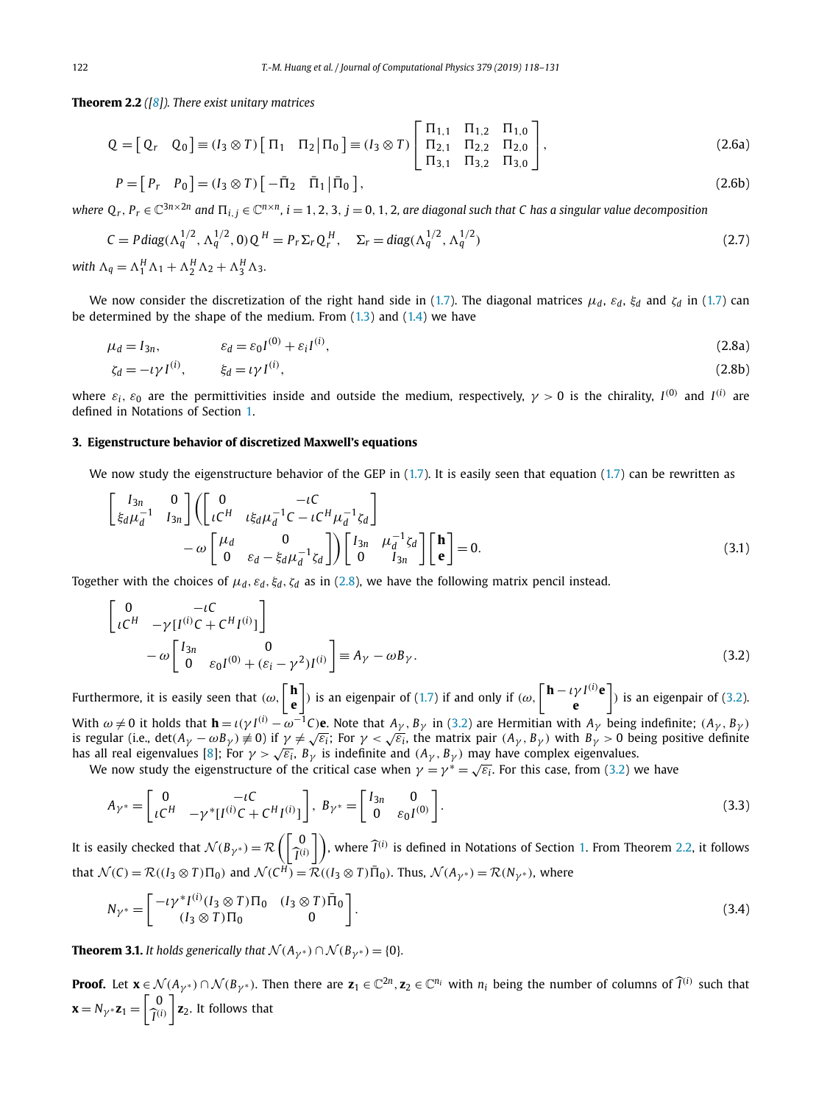<span id="page-4-0"></span>**Theorem 2.2** *([\[8\]](#page-13-0)). There exist unitary matrices*

$$
Q = [Q_r \quad Q_0] \equiv (I_3 \otimes T) [\Pi_1 \quad \Pi_2 | \Pi_0] \equiv (I_3 \otimes T) [\begin{bmatrix} \Pi_{1,1} & \Pi_{1,2} & \Pi_{1,0} \\ \Pi_{2,1} & \Pi_{2,2} & \Pi_{2,0} \\ \Pi_{3,1} & \Pi_{3,2} & \Pi_{3,0} \end{bmatrix},
$$
(2.6a)

$$
P = [P_r \quad P_0] = (I_3 \otimes T) [-\bar{\Pi}_2 \quad \bar{\Pi}_1 | \bar{\Pi}_0], \tag{2.6b}
$$

where  $Q_r$ ,  $P_r \in \mathbb{C}^{3n \times 2n}$  and  $\Pi_{i,j} \in \mathbb{C}^{n \times n}$ ,  $i = 1, 2, 3, j = 0, 1, 2$ , are diagonal such that C has a singular value decomposition

$$
C = P \operatorname{diag}(\Lambda_q^{1/2}, \Lambda_q^{1/2}, 0) Q^H = P_r \Sigma_r Q_r^H, \quad \Sigma_r = \operatorname{diag}(\Lambda_q^{1/2}, \Lambda_q^{1/2})
$$
\n(2.7)

*with*  $\Lambda_q = \Lambda_1^H \Lambda_1 + \Lambda_2^H \Lambda_2 + \Lambda_3^H \Lambda_3$ .

We now consider the discretization of the right hand side in [\(1.7\)](#page-1-0). The diagonal matrices  $\mu_d$ ,  $\varepsilon_d$ ,  $\xi_d$  and  $\zeta_d$  in (1.7) can be determined by the shape of the medium. From  $(1.3)$  and  $(1.4)$  we have

$$
\mu_d = I_{3n}, \qquad \varepsilon_d = \varepsilon_0 I^{(0)} + \varepsilon_i I^{(i)}, \qquad (2.8a)
$$

$$
\zeta_d = -\iota \gamma I^{(i)}, \qquad \xi_d = \iota \gamma I^{(i)}, \tag{2.8b}
$$

where  $\varepsilon_i$ ,  $\varepsilon_0$  are the permittivities inside and outside the medium, respectively,  $\gamma > 0$  is the chirality,  $I^{(0)}$  and  $I^{(i)}$  are defined in Notations of Section [1.](#page-0-0)

# **3. Eigenstructure behavior of discretized Maxwell's equations**

We now study the eigenstructure behavior of the GEP in  $(1.7)$ . It is easily seen that equation  $(1.7)$  can be rewritten as

$$
\begin{bmatrix}\nI_{3n} & 0 \\
\dot{\xi}_d \mu_d^{-1} & I_{3n}\n\end{bmatrix}\n\begin{bmatrix}\n0 & -\iota C \\
\iota C^H & \iota \xi_d \mu_d^{-1} C - \iota C^H \mu_d^{-1} \zeta_d\n\end{bmatrix}\n-\n\omega \begin{bmatrix}\n\mu_d & 0 \\
0 & \varepsilon_d - \xi_d \mu_d^{-1} \zeta_d\n\end{bmatrix}\n\begin{bmatrix}\nI_{3n} & \mu_d^{-1} \zeta_d \\
0 & I_{3n}\n\end{bmatrix}\n\begin{bmatrix}\n\mathbf{h} \\
\mathbf{e}\n\end{bmatrix} = 0.
$$
\n(3.1)

Together with the choices of  $\mu_d$ ,  $\varepsilon_d$ ,  $\xi_d$ ,  $\zeta_d$  as in (2.8), we have the following matrix pencil instead.

$$
\begin{bmatrix}\n0 & -\iota C \\
\iota C^H & -\gamma [I^{(i)}C + C^H I^{(i)}]\n\end{bmatrix} \\
-\omega \begin{bmatrix}\nI_{3n} & 0 \\
0 & \varepsilon_0 I^{(0)} + (\varepsilon_i - \gamma^2) I^{(i)}\n\end{bmatrix} \equiv A_\gamma - \omega B_\gamma.
$$
\n(3.2)

Furthermore, it is easily seen that  $(\omega, \begin{bmatrix} \mathbf{h} \\ \mathbf{h} \end{bmatrix})$ **e** ) is an eigenpair of [\(1.7](#page-1-0)) if and only if  $(\omega, \mathbf{h} - \nu)^{I^{(i)}}$ **e e** *)* is an eigenpair of (3.2). With  $\omega \neq 0$  it holds that  $\mathbf{h} = \iota(\gamma I^{(i)} - \omega^{-1}C)\mathbf{e}$ . Note that  $A_{\gamma}$ ,  $B_{\gamma}$  in (3.2) are Hermitian with  $A_{\gamma}$  being indefinite;  $(A_{\gamma}, B_{\gamma})$  is regular (i.e., det $(A_{\gamma} - \omega B_{\gamma}) \neq 0$ ) if  $\gamma \neq \sqrt{\varepsilon_i}$ ; F has all real eigenvalues [\[8\]](#page-13-0); For  $\gamma > \sqrt{\varepsilon_i}$ ,  $B_\gamma$  is indefinite and  $(A_\gamma, B_\gamma)$  may have complex eigenvalues.

We now study the eigenstructure of the critical case when  $\gamma = \gamma^* = \sqrt{\varepsilon_i}$ . For this case, from (3.2) we have

$$
A_{\gamma^*} = \begin{bmatrix} 0 & -\iota C \\ \iota C^H & -\gamma^* [I^{(i)}C + C^H I^{(i)}] \end{bmatrix}, \ B_{\gamma^*} = \begin{bmatrix} I_{3n} & 0 \\ 0 & \varepsilon_0 I^{(0)} \end{bmatrix}.
$$
 (3.3)

It is easily checked that  $\mathcal{N}(B_{\gamma^*}) = \mathcal{R}\left(\begin{bmatrix} 0 \ \widehat{I}^{(i)} \end{bmatrix}\right)$  $\begin{bmatrix} 0 \\ \widehat{I}^{(i)} \end{bmatrix}$ , where  $\widehat{I}^{(i)}$  is defined in Notations of Section [1.](#page-0-0) From Theorem 2.2, it follows that  $\mathcal{N}(C) = \mathcal{R}((I_3 \otimes T)\Pi_0)$  and  $\mathcal{N}(C^H) = \mathcal{R}((I_3 \otimes T)\Pi_0)$ . Thus,  $\mathcal{N}(A_{\gamma^*}) = \mathcal{R}(N_{\gamma^*})$ , where

$$
N_{\gamma^*} = \begin{bmatrix} -\iota \gamma^* I^{(i)} (I_3 \otimes T) \Pi_0 & (I_3 \otimes T) \bar{\Pi}_0 \\ (I_3 \otimes T) \Pi_0 & 0 \end{bmatrix} . \tag{3.4}
$$

**Theorem 3.1.** It holds generically that  $\mathcal{N}(A_{\nu^*}) \cap \mathcal{N}(B_{\nu^*}) = \{0\}$ .

**Proof.** Let  $\mathbf{x} \in \mathcal{N}(A_{\gamma^*}) \cap \mathcal{N}(B_{\gamma^*})$ . Then there are  $\mathbf{z}_1 \in \mathbb{C}^{2n}$ ,  $\mathbf{z}_2 \in \mathbb{C}^{n_i}$  with  $n_i$  being the number of columns of  $\widehat{I}^{(i)}$  such that  $\mathbf{x} = N_{\gamma} * \mathbf{z}_1 = \begin{bmatrix} 0 \\ \hat{\tau} \end{bmatrix}$  $\widehat{I}^{(i)}$  $\mathbf{z}_2$ . It follows that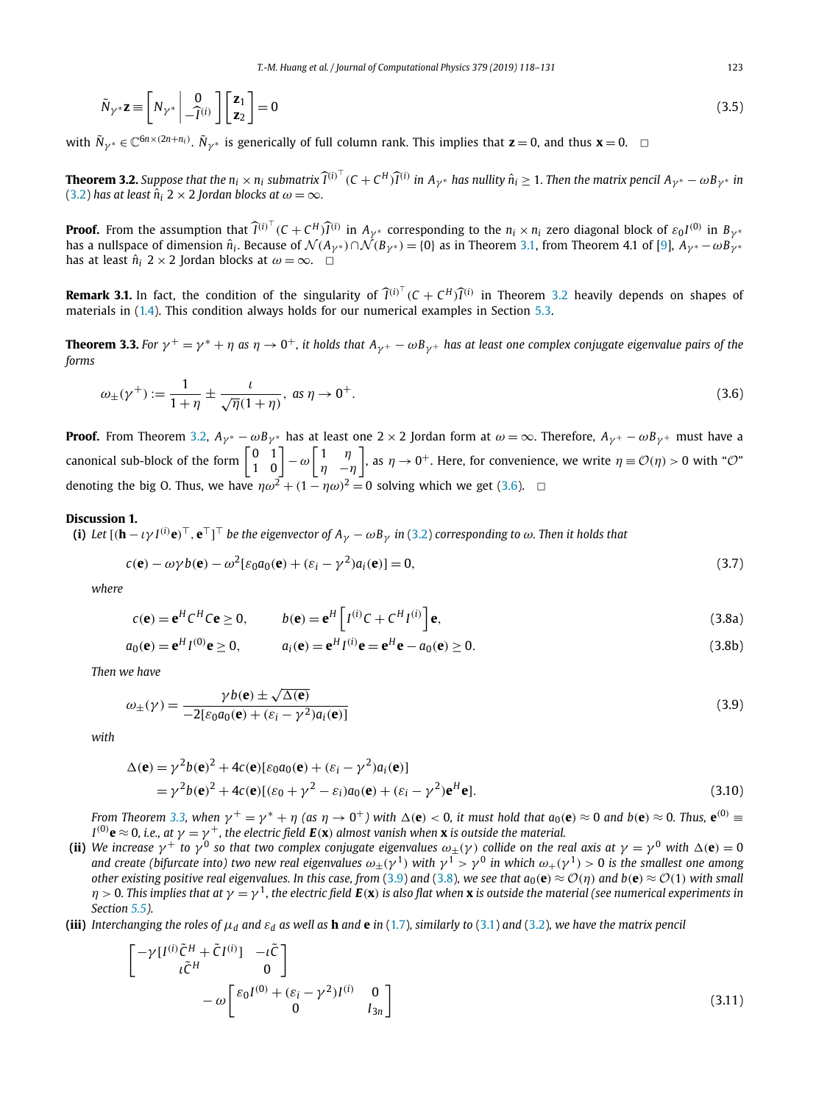<span id="page-5-0"></span>
$$
\tilde{N}_{\gamma^*} \mathbf{z} \equiv \begin{bmatrix} N_{\gamma^*} & 0 \\ -\hat{I}^{(i)} \end{bmatrix} \begin{bmatrix} \mathbf{z}_1 \\ \mathbf{z}_2 \end{bmatrix} = 0 \tag{3.5}
$$

with  $\tilde{N}_{\gamma^*} \in \mathbb{C}^{6n \times (2n+n_i)}$ .  $\tilde{N}_{\gamma^*}$  is generically of full column rank. This implies that  $\mathbf{z} = 0$ , and thus  $\mathbf{x} = 0$ .

**Theorem 3.2.** Suppose that the  $n_i \times n_i$  submatrix  $\widehat{I}^{(i)^\top}$  ( $C + C^H \widehat{I}^{(i)}$  in  $A_{\gamma^*}$  has nullity  $\hat{n}_i \geq 1$ . Then the matrix pencil  $A_{\gamma^*} - \omega B_{\gamma^*}$  in [\(3.2\)](#page-4-0) has at least  $\hat{n}_i$  2 × 2 *Jordan blocks* at  $\omega = \infty$ .

**Proof.** From the assumption that  $\widehat{I}^{(i)^\top}$  ( $C + C^H \widehat{I}^{(i)}$  in  $A_{\gamma^*}$  corresponding to the  $n_i \times n_i$  zero diagonal block of  $\varepsilon_0 I^{(0)}$  in  $B_{\gamma^*}$ has a nullspace of dimension  $\hat{n}_i$ . Because of  $\mathcal{N}(A_{\gamma^*}) \cap \mathcal{N}(B_{\gamma^*}) = \{0\}$  as in Theorem [3.1,](#page-4-0) from Theorem 4.1 of [\[9\]](#page-13-0),  $A_{\gamma^*} - \omega B_{\gamma^*}$ has at least  $\hat{n}_i$  2 × 2 Jordan blocks at  $\omega = \infty$ .  $\Box$ 

**Remark 3.1.** In fact, the condition of the singularity of  $\widehat{I}^{(i)^\top}$  ( $C + C^H \widehat{I}^{(i)}$  in Theorem 3.2 heavily depends on shapes of materials in [\(1.4\)](#page-1-0). This condition always holds for our numerical examples in Section [5.3.](#page-9-0)

**Theorem 3.3.** For  $\gamma^+ = \gamma^* + \eta$  as  $\eta \to 0^+$ , it holds that  $A_{\gamma^+} - \omega B_{\gamma^+}$  has at least one complex conjugate eigenvalue pairs of the *forms*

$$
\omega_{\pm}(\gamma^+) := \frac{1}{1+\eta} \pm \frac{\iota}{\sqrt{\eta}(1+\eta)}, \text{ as } \eta \to 0^+.
$$
 (3.6)

**Proof.** From Theorem 3.2,  $A_{\gamma^*} - \omega B_{\gamma^*}$  has at least one 2 × 2 Jordan form at  $\omega = \infty$ . Therefore,  $A_{\gamma^+} - \omega B_{\gamma^+}$  must have a canonical sub-block of the form  $\begin{bmatrix} 0 & 1 \\ 1 & 0 \end{bmatrix} - \omega \begin{bmatrix} 1 & \eta \\ \eta & -i \end{bmatrix}$ *η* −*η*  $\Big]$ , as  $\eta \to 0^+$ . Here, for convenience, we write  $\eta \equiv \mathcal{O}(\eta) > 0$  with " $\mathcal{O}$ " denoting the big O. Thus, we have  $\eta \omega^2 + (1 - \eta \omega)^2 = 0$  solving which we get (3.6).  $\Box$ 

# **Discussion 1.**

(i) Let  $[(\bm{h}-\iota\gamma I^{(i)}\bm{e})^\top,\bm{e}^\top]^\top$  be the eigenvector of  $A_\gamma-\omega B_\gamma$  in [\(3.2\)](#page-4-0) corresponding to  $\omega$ . Then it holds that

$$
c(\mathbf{e}) - \omega \gamma b(\mathbf{e}) - \omega^2 [\varepsilon_0 a_0(\mathbf{e}) + (\varepsilon_i - \gamma^2) a_i(\mathbf{e})] = 0,
$$
\n(3.7)

*where*

$$
c(\mathbf{e}) = \mathbf{e}^{H} C^{H} C \mathbf{e} \ge 0, \qquad b(\mathbf{e}) = \mathbf{e}^{H} \left[ I^{(i)} C + C^{H} I^{(i)} \right] \mathbf{e}, \tag{3.8a}
$$

$$
a_0(\mathbf{e}) = \mathbf{e}^H I^{(0)} \mathbf{e} \ge 0, \qquad a_i(\mathbf{e}) = \mathbf{e}^H I^{(i)} \mathbf{e} = \mathbf{e}^H \mathbf{e} - a_0(\mathbf{e}) \ge 0.
$$
 (3.8b)

*Then we have*

$$
\omega_{\pm}(\gamma) = \frac{\gamma b(\mathbf{e}) \pm \sqrt{\Delta(\mathbf{e})}}{-2[\varepsilon_0 a_0(\mathbf{e}) + (\varepsilon_i - \gamma^2) a_i(\mathbf{e})]}
$$
(3.9)

*with*

$$
\Delta(\mathbf{e}) = \gamma^2 b(\mathbf{e})^2 + 4c(\mathbf{e})[\varepsilon_0 a_0(\mathbf{e}) + (\varepsilon_i - \gamma^2) a_i(\mathbf{e})]
$$
  
=  $\gamma^2 b(\mathbf{e})^2 + 4c(\mathbf{e})[(\varepsilon_0 + \gamma^2 - \varepsilon_i)a_0(\mathbf{e}) + (\varepsilon_i - \gamma^2)\mathbf{e}^H \mathbf{e}].$  (3.10)

From Theorem 3.3, when  $\gamma^+ = \gamma^* + \eta$  (as  $\eta \to 0^+$ ) with  $\Delta(e) < 0$ , it must hold that  $a_0(e) \approx 0$  and  $b(e) \approx 0$ . Thus,  $e^{(0)} \equiv$ I  $^{(0)}$ **e**  $\approx$  0, i.e., at  $\gamma=\gamma^+$ , the electric field  $\bm E(\bm {\textbf x})$  almost vanish when  $\bm {\textbf x}$  is outside the material.

- (ii) We increase  $\gamma^+$  to  $\gamma^0$  so that two complex conjugate eigenvalues  $\omega_{\pm}(\gamma)$  collide on the real axis at  $\gamma = \gamma^0$  with  $\Delta(\mathbf{e}) = 0$ and create (bifurcate into) two new real eigenvalues  $\omega_+(\gamma^1)$  with  $\gamma^1 > \gamma^0$  in which  $\omega_+(\gamma^1) > 0$  is the smallest one among other existing positive real eigenvalues. In this case, from (3.9) and (3.8), we see that  $a_0(e) \approx \mathcal{O}(\eta)$  and  $b(e) \approx \mathcal{O}(1)$  with small  $\eta$  > 0. This implies that at  $\gamma = \gamma^1$ , the electric field  $E(x)$  is also flat when x is outside the material (see numerical experiments in *Section [5.5\)](#page-10-0).*
- (iii) Interchanging the roles of  $\mu_d$  and  $\varepsilon_d$  as well as **h** and **e** in [\(1.7\)](#page-1-0), similarly to [\(3.1\)](#page-4-0) and [\(3.2\)](#page-4-0), we have the matrix pencil

$$
\begin{bmatrix}\n-\gamma[I^{(i)}\tilde{C}^{H} + \tilde{C}I^{(i)}] & -\iota\tilde{C} \\
\iota\tilde{C}^{H} & 0\n\end{bmatrix}\n-\omega\begin{bmatrix}\n\varepsilon_0 I^{(0)} + (\varepsilon_i - \gamma^2)I^{(i)} & 0 \\
0 & I_{3n}\n\end{bmatrix}
$$
\n(3.11)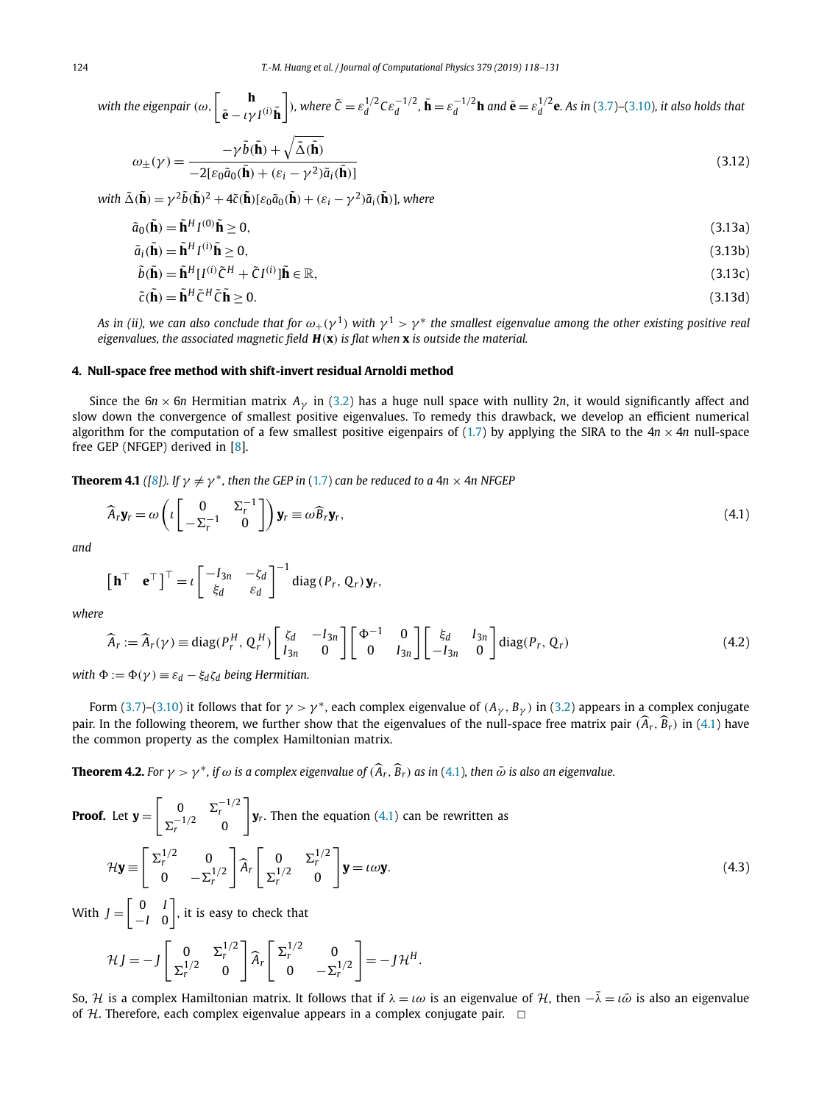<span id="page-6-0"></span>with the eigenpair 
$$
(\omega, \begin{bmatrix} \mathbf{h} \\ \tilde{\mathbf{e}} - \iota \gamma I^{(i)} \tilde{\mathbf{h}} \end{bmatrix})
$$
, where  $\tilde{C} = \varepsilon_d^{1/2} C \varepsilon_d^{-1/2}$ ,  $\tilde{\mathbf{h}} = \varepsilon_d^{-1/2} \mathbf{h}$  and  $\tilde{\mathbf{e}} = \varepsilon_d^{1/2} \mathbf{e}$ . As in (3.7)-(3.10), it also holds that

$$
\omega_{\pm}(\gamma) = \frac{-\gamma \tilde{b}(\tilde{\mathbf{h}}) + \sqrt{\tilde{\Delta}(\tilde{\mathbf{h}})}}{-2[\varepsilon_0 \tilde{a}_0(\tilde{\mathbf{h}}) + (\varepsilon_i - \gamma^2) \tilde{a}_i(\tilde{\mathbf{h}})]}
$$
(3.12)

with  $\tilde{\Delta}(\tilde{\mathbf{h}}) = \gamma^2 \tilde{b}(\tilde{\mathbf{h}})^2 + 4\tilde{c}(\tilde{\mathbf{h}})[\varepsilon_0 \tilde{a}_0(\tilde{\mathbf{h}}) + (\varepsilon_i - \gamma^2) \tilde{a}_i(\tilde{\mathbf{h}})],$  where

$$
\tilde{a}_0(\tilde{\mathbf{h}}) = \tilde{\mathbf{h}}^H I^{(0)} \tilde{\mathbf{h}} \ge 0,
$$
\n(3.13a)

$$
\tilde{a}_i(\tilde{\mathbf{h}}) = \tilde{\mathbf{h}}^H l^{(i)} \tilde{\mathbf{h}} \ge 0,
$$
\n(3.13b)

$$
\tilde{b}(\tilde{\mathbf{h}}) = \tilde{\mathbf{h}}^H [I^{(i)} \tilde{C}^H + \tilde{C} I^{(i)}] \tilde{\mathbf{h}} \in \mathbb{R},\tag{3.13c}
$$

$$
\tilde{c}(\tilde{\mathbf{h}}) = \tilde{\mathbf{h}}^H \tilde{c}^H \tilde{c} \tilde{\mathbf{h}} \ge 0. \tag{3.13d}
$$

As in (ii), we can also conclude that for  $\omega_+(\gamma^1)$  with  $\gamma^1 > \gamma^*$  the smallest eigenvalue among the other existing positive real *eigenvalues, the associated magnetic field H(***x***) is flat when* **x** *is outside the material.*

#### **4. Null-space free method with shift-invert residual Arnoldi method**

Since the  $6n \times 6n$  Hermitian matrix  $A<sub>\gamma</sub>$  in [\(3.2\)](#page-4-0) has a huge null space with nullity 2*n*, it would significantly affect and slow down the convergence of smallest positive eigenvalues. To remedy this drawback, we develop an efficient numerical algorithm for the computation of a few smallest positive eigenpairs of [\(1.7\)](#page-1-0) by applying the SIRA to the  $4n \times 4n$  null-space free GEP (NFGEP) derived in [\[8\]](#page-13-0).

**Theorem 4.1** ([\[8\]](#page-13-0)). If  $\gamma \neq \gamma^*$ , then the GEP in [\(1.7\)](#page-1-0) can be reduced to a 4n  $\times$  4n NFGEP

$$
\widehat{A}_r \mathbf{y}_r = \omega \left( \iota \begin{bmatrix} 0 & \Sigma_r^{-1} \\ -\Sigma_r^{-1} & 0 \end{bmatrix} \right) \mathbf{y}_r \equiv \omega \widehat{B}_r \mathbf{y}_r, \tag{4.1}
$$

*and*

$$
\begin{bmatrix} \mathbf{h}^{\top} & \mathbf{e}^{\top} \end{bmatrix}^{\top} = \iota \begin{bmatrix} -I_{3n} & -\zeta_d \\ \zeta_d & \varepsilon_d \end{bmatrix}^{-1} \operatorname{diag}(P_r, Q_r) \mathbf{y}_r,
$$

*where*

$$
\widehat{A}_r := \widehat{A}_r(\gamma) \equiv \text{diag}(P_r^H, Q_r^H) \begin{bmatrix} \zeta_d & -I_{3n} \\ I_{3n} & 0 \end{bmatrix} \begin{bmatrix} \Phi^{-1} & 0 \\ 0 & I_{3n} \end{bmatrix} \begin{bmatrix} \xi_d & I_{3n} \\ -I_{3n} & 0 \end{bmatrix} \text{diag}(P_r, Q_r) \tag{4.2}
$$

*with*  $\Phi := \Phi(\gamma) \equiv \varepsilon_d - \xi_d \zeta_d$  *being Hermitian.* 

Form [\(3.7\)](#page-5-0)–[\(3.10\)](#page-5-0) it follows that for  $\gamma > \gamma^*$ , each complex eigenvalue of  $(A_\gamma, B_\gamma)$  in [\(3.2\)](#page-4-0) appears in a complex conjugate pair. In the following theorem, we further show that the eigenvalues of the null-space free matrix pair  $(\hat{A}_r, \hat{B}_r)$  in (4.1) have the common property as the complex Hamiltonian matrix.

**Theorem 4.2.** For  $\gamma > \gamma^*$ , if  $\omega$  is a complex eigenvalue of  $(\widehat{A}_r, \widehat{B}_r)$  as in (4.1), then  $\bar{\omega}$  is also an eigenvalue.

**Proof.** Let 
$$
\mathbf{y} = \begin{bmatrix} 0 & \Sigma_r^{-1/2} \\ \Sigma_r^{-1/2} & 0 \end{bmatrix} \mathbf{y}_r.
$$
 Then the equation (4.1) can be rewritten as\n
$$
\mathcal{H}\mathbf{y} \equiv \begin{bmatrix} \Sigma_r^{1/2} & 0 & 0 \\ 0 & -\Sigma_r^{1/2} \end{bmatrix} \mathbf{\hat{A}}_r \begin{bmatrix} 0 & \Sigma_r^{1/2} \\ \Sigma_r^{1/2} & 0 \end{bmatrix} \mathbf{y} = t\omega \mathbf{y}.
$$
\n(4.3)

With  $J = \begin{bmatrix} 0 & I \\ I & G \end{bmatrix}$ −*I* 0 , it is easy to check that

$$
\mathcal{H}J = -J \begin{bmatrix} 0 & \Sigma_r^{1/2} \\ \Sigma_r^{1/2} & 0 \end{bmatrix} \widehat{A}_r \begin{bmatrix} \Sigma_r^{1/2} & 0 \\ 0 & -\Sigma_r^{1/2} \end{bmatrix} = -J\mathcal{H}^H.
$$

So, *H* is a complex Hamiltonian matrix. It follows that if  $λ = lω$  is an eigenvalue of *H*, then  $-λ = lω$  is also an eigenvalue of  $H$ . Therefore, each complex eigenvalue appears in a complex conjugate pair.  $\Box$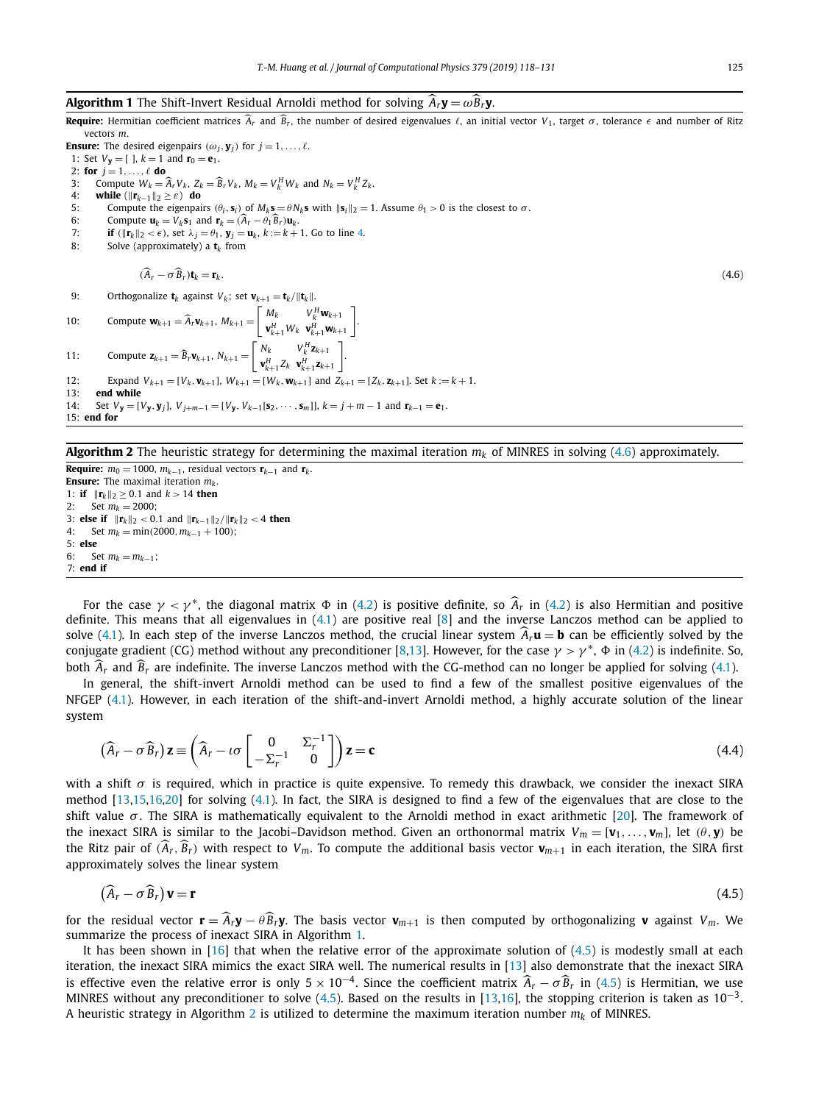# <span id="page-7-0"></span>**Algorithm 1** The Shift-Invert Residual Arnoldi method for solving  $\hat{A}_r \mathbf{y} = \omega \hat{B}_r \mathbf{y}$ .

**Require:** Hermitian coefficient matrices  $\hat{A}_r$  and  $\hat{B}_r$ , the number of desired eigenvalues  $\ell$ , an initial vector  $V_1$ , target  $\sigma$ , tolerance  $\epsilon$  and number of Ritz vectors *m*.

**Ensure:** The desired eigenpairs  $(\omega_j, \mathbf{y}_j)$  for  $j = 1, \ldots, \ell$ .

- 1: Set  $V_y = [$  ],  $k = 1$  and  $r_0 = e_1$ .
- 2: **for**  $j = 1, ..., \ell$  **do**
- 3: Compute  $W_k = \hat{A}_r V_k$ ,  $Z_k = \hat{B}_r V_k$ ,  $M_k = V_k^H W_k$  and  $N_k = V_k^H Z_k$ .
- 4: **while**  $(\|\mathbf{r}_{k-1}\|_2 \ge \varepsilon)$  **do**<br>5: Compute the eigenpair
- 5: Compute the eigenpairs  $(θ_i, \mathbf{s}_i)$  of  $M_k \mathbf{s} = θN_k \mathbf{s}$  with  $\|\mathbf{s}_i\|_2 = 1$ . Assume  $θ_1 > 0$  is the closest to  $σ$ .<br>6. Compute  $\mathbf{u}_k = V_k \mathbf{s}_1$  and  $\mathbf{r}_k = (\hat{A}_k \theta_k \hat{B}_k)\mathbf{u}_k$ .
- 6: Compute  $\mathbf{u}_k = V_k \mathbf{s}_1$  and  $\mathbf{r}_k = (\hat{A}_r \theta_1 \hat{B}_r) \mathbf{u}_k$ .<br>7: **if** ( $\|\mathbf{r}_k\|_2 < \epsilon$ ) set  $\lambda_i = \theta_1$ ,  $\mathbf{v}_i = \mathbf{u}_k$ ,  $k := k + 1$ .
- 7: **if**  $(\|\mathbf{r}_k\|_2 < \epsilon)$ , set  $\lambda_j = \theta_1$ ,  $\mathbf{y}_j = \mathbf{u}_k$ ,  $k := k + 1$ . Go to line 4.<br>8: Solve (approximately) a t<sub>k</sub> from Solve (approximately) a  $t_k$  from
	-

$$
(A_r - \sigma B_r)\mathbf{t}_k = \mathbf{r}_k. \tag{4.6}
$$

9: Orthogonalize **t**<sub>*k*</sub> against *V*<sub>*k*</sub>; set **v**<sub>*k*+1</sub> = **t**<sub>*k*</sub>/ $\|\mathbf{t}_k\|$ .

```
10: Compute \mathbf{w}_{k+1} = \widehat{A}_r \mathbf{v}_{k+1}, M_{k+1} = \begin{bmatrix} M_k & V_k^H \mathbf{w}_{k+1} \\ \mathbf{v}^H & W_k & \mathbf{w}^H \end{bmatrix}v<sup>H</sup><sub>k+1</sub>W<sub>k+1</sub><b>w<sub>k+1</sub>

.
11: Compute \mathbf{z}_{k+1} = \widehat{B}_r \mathbf{v}_{k+1}, N_{k+1} = \begin{bmatrix} N_k & V_k^H \mathbf{z}_{k+1} \\ \mathbf{v}_r^H & Z_r & \mathbf{v}_r^H \end{bmatrix}v<sup>H</sup><sub>k+1</sub>z<sub>k+1</sub>z

.
12: Expand V_{k+1} = [V_k, \mathbf{v}_{k+1}], W_{k+1} = [W_k, \mathbf{w}_{k+1}] and Z_{k+1} = [Z_k, \mathbf{z}_{k+1}]. Set k := k + 1.
13: end while
14: Set V_y = [V_y, y_j], V_{j+m-1} = [V_y, V_{k-1}[s_2, \cdots, s_m]], k = j+m-1 and r_{k-1} = e_1.
15: end for
```
**Algorithm 2** The heuristic strategy for determining the maximal iteration  $m_k$  of MINRES in solving (4.6) approximately.

**Require:**  $m_0 = 1000$ ,  $m_{k-1}$ , residual vectors  $\mathbf{r}_{k-1}$  and  $\mathbf{r}_k$ . **Ensure:** The maximal iteration  $m_k$ . 1: **if**  $||{\bf r}_k||_2 \ge 0.1$  and  $k > 14$  **then** 2: Set  $m_k = 2000$ ; 3: **else if**  $\|\mathbf{r}_k\|_2 < 0.1$  and  $\|\mathbf{r}_{k-1}\|_2 / \|\mathbf{r}_k\|_2 < 4$  then 4: Set  $m_k = \min(2000, m_{k-1} + 100)$ ; 5: **else** 6: Set  $m_k = m_{k-1}$ ; 7: **end if**

For the case  $\gamma < \gamma^*$ , the diagonal matrix  $\Phi$  in [\(4.2\)](#page-6-0) is positive definite, so  $\hat{A}_r$  in (4.2) is also Hermitian and positive definite. This means that all eigenvalues in  $(4.1)$  are positive real  $[8]$  and the inverse Lanczos method can be applied to solve [\(4.1\)](#page-6-0). In each step of the inverse Lanczos method, the crucial linear system  $\hat{A}_r \mathbf{u} = \mathbf{b}$  can be efficiently solved by the conjugate gradient (CG) method without any preconditioner [\[8,13\]](#page-13-0). However, for the case  $\gamma > \gamma^*$ ,  $\Phi$  in [\(4.2\)](#page-6-0) is indefinite. So, both  $\hat{A}_r$  and  $\hat{B}_r$  are indefinite. The inverse Lanczos method with the CG-method can no longer be applied for solving [\(4.1\)](#page-6-0).

In general, the shift-invert Arnoldi method can be used to find a few of the smallest positive eigenvalues of the NFGEP [\(4.1\)](#page-6-0). However, in each iteration of the shift-and-invert Arnoldi method, a highly accurate solution of the linear system

$$
(\widehat{A}_r - \sigma \widehat{B}_r) \mathbf{z} \equiv \left( \widehat{A}_r - \iota \sigma \begin{bmatrix} 0 & \Sigma_r^{-1} \\ -\Sigma_r^{-1} & 0 \end{bmatrix} \right) \mathbf{z} = \mathbf{c}
$$
 (4.4)

with a shift  $\sigma$  is required, which in practice is quite expensive. To remedy this drawback, we consider the inexact SIRA method [\[13,15,16,20\]](#page-13-0) for solving [\(4.1\)](#page-6-0). In fact, the SIRA is designed to find a few of the eigenvalues that are close to the shift value  $\sigma$ . The SIRA is mathematically equivalent to the Arnoldi method in exact arithmetic [\[20\]](#page-13-0). The framework of the inexact SIRA is similar to the Jacobi–Davidson method. Given an orthonormal matrix  $V_m = [\mathbf{v}_1, \dots, \mathbf{v}_m]$ , let  $(\theta, \mathbf{y})$  be the Ritz pair of  $(A_r, B_r)$  with respect to  $V_m$ . To compute the additional basis vector  $\mathbf{v}_{m+1}$  in each iteration, the SIRA first approximately solves the linear system

$$
(\widehat{A}_r - \sigma \widehat{B}_r) \mathbf{v} = \mathbf{r}
$$
 (4.5)

for the residual vector  $\mathbf{r} = \hat{A}_r \mathbf{y} - \theta \hat{B}_r \mathbf{y}$ . The basis vector  $\mathbf{v}_{m+1}$  is then computed by orthogonalizing **v** against  $V_m$ . We summarize the process of inexact SIRA in Algorithm 1.

It has been shown in [\[16\]](#page-13-0) that when the relative error of the approximate solution of  $(4.5)$  is modestly small at each iteration, the inexact SIRA mimics the exact SIRA well. The numerical results in [\[13\]](#page-13-0) also demonstrate that the inexact SIRA is effective even the relative error is only  $5 \times 10^{-4}$ . Since the coefficient matrix  $\hat{A}_r - \sigma \hat{B}_r$  in (4.5) is Hermitian, we use MINRES without any preconditioner to solve (4.5). Based on the results in [\[13,16\]](#page-13-0), the stopping criterion is taken as  $10^{-3}$ . A heuristic strategy in Algorithm 2 is utilized to determine the maximum iteration number *mk* of MINRES.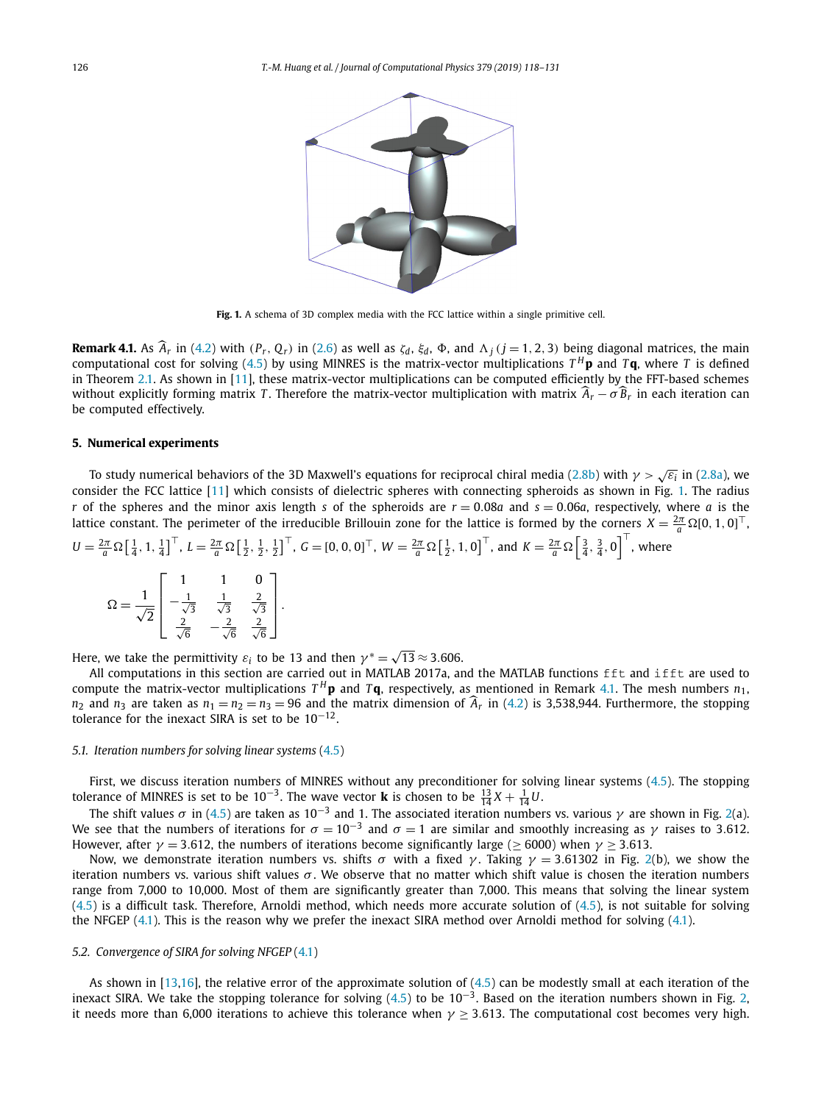<span id="page-8-0"></span>

**Fig. 1.** A schema of 3D complex media with the FCC lattice within a single primitive cell.

**Remark 4.1.** As  $A_r$  in [\(4.2\)](#page-6-0) with  $(P_r, Q_r)$  in [\(2.6\)](#page-4-0) as well as  $\zeta_d$ ,  $\zeta_d$ ,  $\Phi$ , and  $\Lambda_j$  ( $j = 1, 2, 3$ ) being diagonal matrices, the main computational cost for solving [\(4.5\)](#page-7-0) by using MINRES is the matrix-vector multiplications  $T^H$ **p** and  $T$ **q**, where *T* is defined in Theorem [2.1.](#page-3-0) As shown in [\[11\]](#page-13-0), these matrix-vector multiplications can be computed efficiently by the FFT-based schemes without explicitly forming matrix *T*. Therefore the matrix-vector multiplication with matrix  $\hat{A}_r - \sigma \hat{B}_r$  in each iteration can be computed effectively.

#### **5. Numerical experiments**

To study numerical behaviors of the 3D Maxwell's equations for reciprocal chiral media [\(2.8b\)](#page-4-0) with *<sup>γ</sup> <sup>&</sup>gt;* <sup>√</sup>*ε<sup>i</sup>* in [\(2.8a\)](#page-4-0), we consider the FCC lattice [\[11\]](#page-13-0) which consists of dielectric spheres with connecting spheroids as shown in Fig. 1. The radius *r* of the spheres and the minor axis length *s* of the spheroids are  $r = 0.08a$  and  $s = 0.06a$ , respectively, where *a* is the lattice constant. The perimeter of the irreducible Brillouin zone for the lattice is formed by the corners  $X = \frac{2\pi}{a} \Omega[0, 1, 0]^\top$ .

$$
U = \frac{2\pi}{a} \Omega \left[ \frac{1}{4}, 1, \frac{1}{4} \right]^\top, L = \frac{2\pi}{a} \Omega \left[ \frac{1}{2}, \frac{1}{2}, \frac{1}{2} \right]^\top, G = [0, 0, 0]^\top, W = \frac{2\pi}{a} \Omega \left[ \frac{1}{2}, 1, 0 \right]^\top, \text{ and } K = \frac{2\pi}{a} \Omega \left[ \frac{3}{4}, \frac{3}{4}, 0 \right]^\top, \text{ where }
$$

$$
\Omega = \frac{1}{\sqrt{2}} \begin{bmatrix} 1 & 1 & 0 \\ -\frac{1}{\sqrt{3}} & \frac{1}{\sqrt{3}} & \frac{2}{\sqrt{3}} \\ \frac{2}{\sqrt{6}} & -\frac{2}{\sqrt{6}} & \frac{2}{\sqrt{6}} \end{bmatrix}.
$$

Here, we take the permittivity  $\varepsilon_i$  to be 13 and then  $\gamma^* = \sqrt{13} \approx 3.606$ .

All computations in this section are carried out in MATLAB 2017a, and the MATLAB functions fft and ifft are used to compute the matrix-vector multiplications  $T^H$ **p** and  $T$ **q**, respectively, as mentioned in Remark 4.1. The mesh numbers  $n_1$ ,  $n_2$  and  $n_3$  are taken as  $n_1 = n_2 = n_3 = 96$  and the matrix dimension of  $\hat{A}_r$  in [\(4.2\)](#page-6-0) is 3,538,944. Furthermore, the stopping tolerance for the inexact SIRA is set to be  $10^{-12}$ .

#### *5.1. Iteration numbers for solving linear systems* [\(4.5\)](#page-7-0)

First, we discuss iteration numbers of MINRES without any preconditioner for solving linear systems [\(4.5\)](#page-7-0). The stopping tolerance of MINRES is set to be  $10^{-3}$ . The wave vector **k** is chosen to be  $\frac{13}{14}X + \frac{1}{14}U$ .

The shift values  $\sigma$  in [\(4.5\)](#page-7-0) are taken as 10<sup>-3</sup> and 1. The associated iteration numbers vs. various  $\gamma$  are shown in Fig. [2\(](#page-9-0)a). We see that the numbers of iterations for  $\sigma = 10^{-3}$  and  $\sigma = 1$  are similar and smoothly increasing as  $\gamma$  raises to 3.612. However, after  $\gamma = 3.612$ , the numbers of iterations become significantly large ( $\geq 6000$ ) when  $\gamma \geq 3.613$ .

Now, we demonstrate iteration numbers vs. shifts *σ* with a fixed *γ* . Taking *γ* = 3*.*61302 in Fig. [2\(](#page-9-0)b), we show the iteration numbers vs. various shift values  $σ$ . We observe that no matter which shift value is chosen the iteration numbers range from 7,000 to 10,000. Most of them are significantly greater than 7,000. This means that solving the linear system [\(4.5\)](#page-7-0) is a difficult task. Therefore, Arnoldi method, which needs more accurate solution of [\(4.5\)](#page-7-0), is not suitable for solving the NFGEP [\(4.1\)](#page-6-0). This is the reason why we prefer the inexact SIRA method over Arnoldi method for solving [\(4.1\)](#page-6-0).

# *5.2. Convergence of SIRA for solving NFGEP* [\(4.1\)](#page-6-0)

As shown in [\[13,16\]](#page-13-0), the relative error of the approximate solution of [\(4.5\)](#page-7-0) can be modestly small at each iteration of the inexact SIRA. We take the stopping tolerance for solving  $(4.5)$  to be  $10^{-3}$ . Based on the iteration numbers shown in Fig. [2,](#page-9-0) it needs more than 6,000 iterations to achieve this tolerance when  $\gamma \geq 3.613$ . The computational cost becomes very high.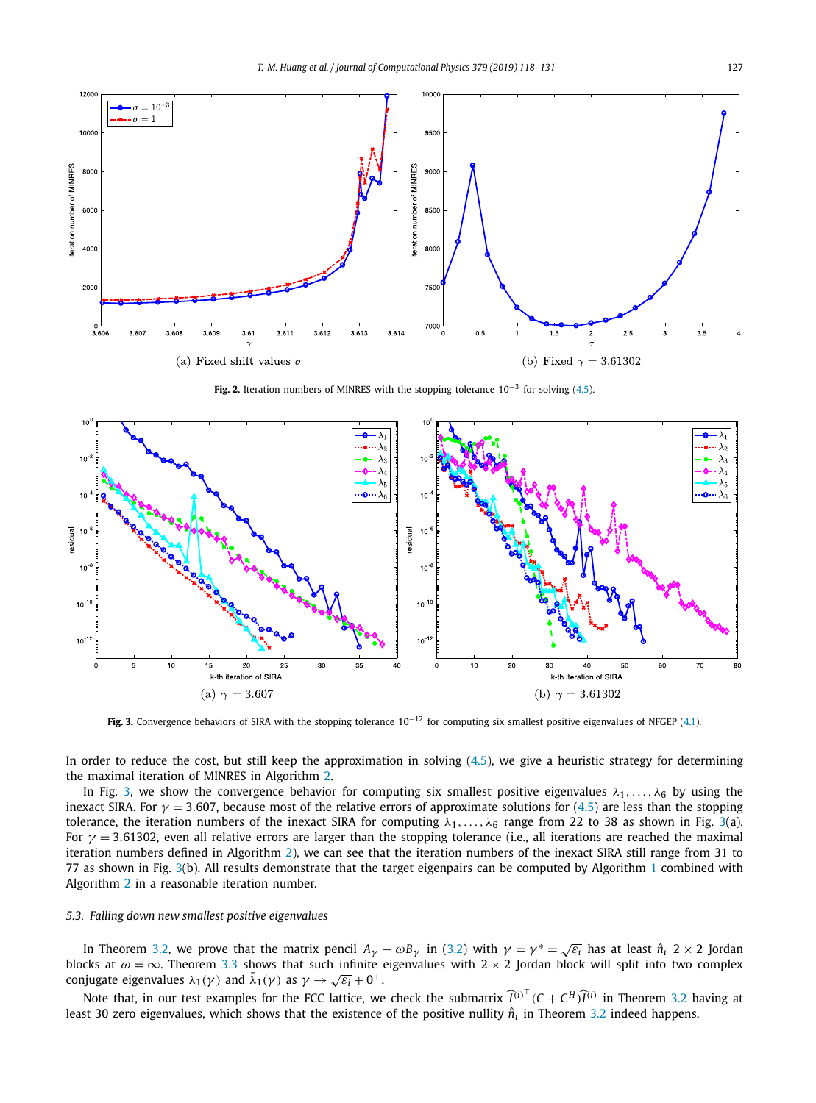<span id="page-9-0"></span>

**Fig. 2.** Iteration numbers of MINRES with the stopping tolerance 10−<sup>3</sup> for solving [\(4.5\)](#page-7-0).



**Fig. 3.** Convergence behaviors of SIRA with the stopping tolerance 10−<sup>12</sup> for computing six smallest positive eigenvalues of NFGEP [\(4.1\)](#page-6-0).

In order to reduce the cost, but still keep the approximation in solving [\(4.5\)](#page-7-0), we give a heuristic strategy for determining the maximal iteration of MINRES in Algorithm [2.](#page-7-0)

In Fig. 3, we show the convergence behavior for computing six smallest positive eigenvalues  $\lambda_1,\ldots,\lambda_6$  by using the inexact SIRA. For  $\gamma$  = 3.607, because most of the relative errors of approximate solutions for [\(4.5\)](#page-7-0) are less than the stopping tolerance, the iteration numbers of the inexact SIRA for computing  $\lambda_1, \ldots, \lambda_6$  range from 22 to 38 as shown in Fig. 3(a). For *γ* = 3*.*61302, even all relative errors are larger than the stopping tolerance (i.e., all iterations are reached the maximal iteration numbers defined in Algorithm [2\)](#page-7-0), we can see that the iteration numbers of the inexact SIRA still range from 31 to 77 as shown in Fig. 3(b). All results demonstrate that the target eigenpairs can be computed by Algorithm [1](#page-7-0) combined with Algorithm [2](#page-7-0) in a reasonable iteration number.

# *5.3. Falling down new smallest positive eigenvalues*

In Theorem [3.2,](#page-5-0) we prove that the matrix pencil  $A_{\gamma} - \omega B_{\gamma}$  in [\(3.2\)](#page-4-0) with  $\gamma = \gamma^* = \sqrt{\varepsilon_i}$  has at least  $\hat{n}_i \geq \infty$  2 Jordan blocks at  $\omega = \infty$ . Theorem [3.3](#page-5-0) shows that such infinite eigenvalues with  $2 \times 2$  Jordan block will split into two complex conjugate eigenvalues  $\lambda_1(\gamma)$  and  $\bar{\lambda}_1(\gamma)$  as  $\gamma \to \sqrt{\varepsilon_i} + 0^+$ .

Note that, in our test examples for the FCC lattice, we check the submatrix  $\hat{I}^{(i)^\top}$  ( $C + C^H \hat{I}^{(i)}$  in Theorem [3.2](#page-5-0) having at least 30 zero eigenvalues, which shows that the existence of the positive nullity  $\hat{n}_i$  in Theorem [3.2](#page-5-0) indeed happens.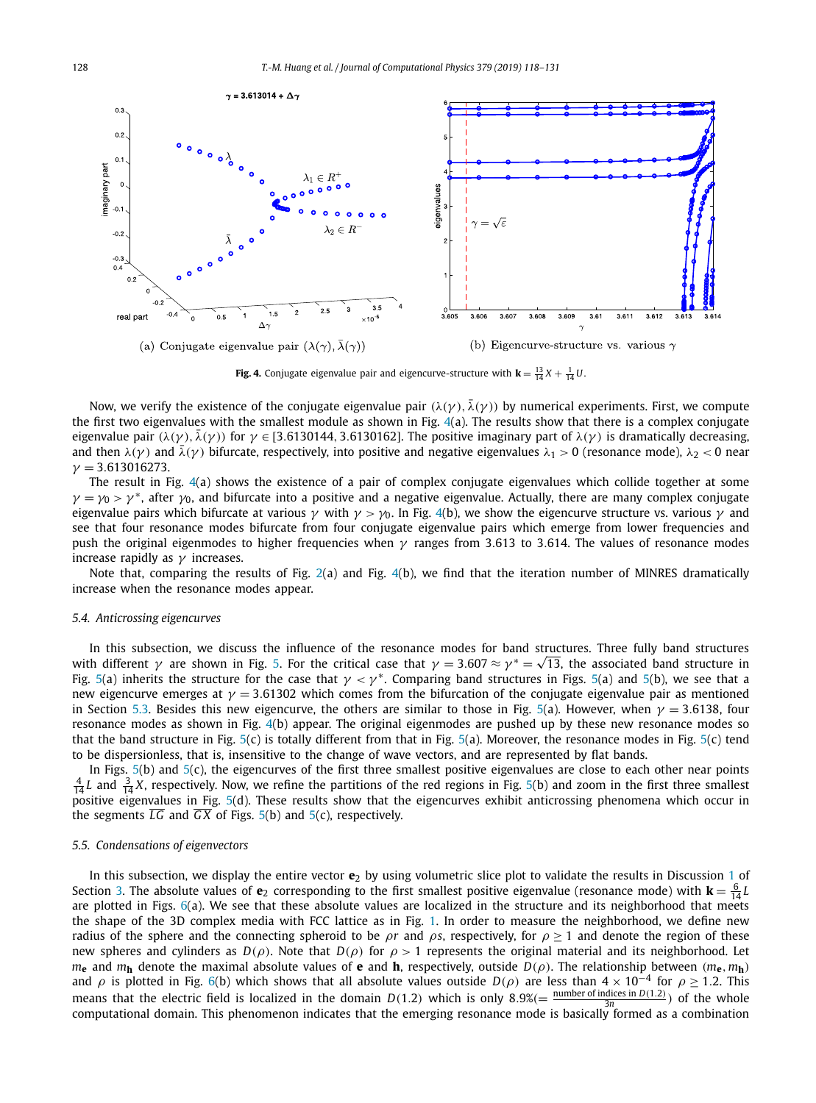<span id="page-10-0"></span>

**Fig. 4.** Conjugate eigenvalue pair and eigencurve-structure with  $\mathbf{k} = \frac{13}{14}X + \frac{1}{14}U$ .

Now, we verify the existence of the conjugate eigenvalue pair  $(\lambda(\gamma), \bar{\lambda}(\gamma))$  by numerical experiments. First, we compute the first two eigenvalues with the smallest module as shown in Fig. 4(a). The results show that there is a complex conjugate eigenvalue pair  $(\lambda(\gamma), \bar{\lambda}(\gamma))$  for  $\gamma \in [3.6130144, 3.6130162]$ . The positive imaginary part of  $\lambda(\gamma)$  is dramatically decreasing, and then  $\lambda(\gamma)$  and  $\bar{\lambda}(\gamma)$  bifurcate, respectively, into positive and negative eigenvalues  $\lambda_1 > 0$  (resonance mode),  $\lambda_2 < 0$  near *γ* = 3*.*613016273.

The result in Fig. 4(a) shows the existence of a pair of complex conjugate eigenvalues which collide together at some  $\gamma = \gamma_0 > \gamma^*$ , after  $\gamma_0$ , and bifurcate into a positive and a negative eigenvalue. Actually, there are many complex conjugate eigenvalue pairs which bifurcate at various *γ* with *γ > γ*0. In Fig. 4(b), we show the eigencurve structure vs. various *γ* and see that four resonance modes bifurcate from four conjugate eigenvalue pairs which emerge from lower frequencies and push the original eigenmodes to higher frequencies when *γ* ranges from 3*.*613 to 3*.*614. The values of resonance modes increase rapidly as *γ* increases.

Note that, comparing the results of Fig. [2\(](#page-9-0)a) and Fig. 4(b), we find that the iteration number of MINRES dramatically increase when the resonance modes appear.

#### *5.4. Anticrossing eigencurves*

In this subsection, we discuss the influence of the resonance modes for band structures. Three fully band structures with different *γ* are shown in Fig. [5.](#page-11-0) For the critical case that  $\gamma = 3.607 \approx \gamma^* = \sqrt{13}$ , the associated band structure in Fig. [5\(](#page-11-0)a) inherits the structure for the case that  $\gamma < \gamma^*$ . Comparing band structures in Figs. 5(a) and 5(b), we see that a new eigencurve emerges at *γ* = 3*.*61302 which comes from the bifurcation of the conjugate eigenvalue pair as mentioned in Section [5.3.](#page-9-0) Besides this new eigencurve, the others are similar to those in Fig. [5\(](#page-11-0)a). However, when *γ* = 3*.*6138, four resonance modes as shown in Fig. 4(b) appear. The original eigenmodes are pushed up by these new resonance modes so that the band structure in Fig. [5\(](#page-11-0)c) is totally different from that in Fig. [5\(](#page-11-0)a). Moreover, the resonance modes in Fig. [5\(](#page-11-0)c) tend to be dispersionless, that is, insensitive to the change of wave vectors, and are represented by flat bands.

In Figs. [5\(](#page-11-0)b) and [5\(](#page-11-0)c), the eigencurves of the first three smallest positive eigenvalues are close to each other near points  $\frac{4}{14}L$  and  $\frac{3}{14}X$ , respectively. Now, we refine the partitions of the red regions in Fig. [5\(](#page-11-0)b) and zoom in the first three smallest positive eigenvalues in Fig. [5\(](#page-11-0)d). These results show that the eigencurves exhibit anticrossing phenomena which occur in the segments  $\overline{LG}$  and  $\overline{GX}$  of Figs. [5\(](#page-11-0)b) and 5(c), respectively.

# *5.5. Condensations of eigenvectors*

In this subsection, we display the entire vector **e**<sup>2</sup> by using volumetric slice plot to validate the results in Discussion [1](#page-5-0) of Section [3.](#page-4-0) The absolute values of  $e_2$  corresponding to the first smallest positive eigenvalue (resonance mode) with  $k = \frac{6}{14}L$ are plotted in Figs.  $6(a)$  $6(a)$ . We see that these absolute values are localized in the structure and its neighborhood that meets the shape of the 3D complex media with FCC lattice as in Fig. [1.](#page-8-0) In order to measure the neighborhood, we define new radius of the sphere and the connecting spheroid to be *ρr* and *ρs*, respectively, for  $\rho > 1$  and denote the region of these new spheres and cylinders as  $D(\rho)$ . Note that  $D(\rho)$  for  $\rho > 1$  represents the original material and its neighborhood. Let *m***e** and  $m$ **h** denote the maximal absolute values of **e** and **h**, respectively, outside  $D(\rho)$ . The relationship between  $(m_e, m_h)$ and  $\rho$  is plotted in Fig. [6\(](#page-11-0)b) which shows that all absolute values outside  $D(\rho)$  are less than  $4 \times 10^{-4}$  for  $\rho \ge 1.2$ . This means that the electric field is localized in the domain *D*(1.2) which is only 8.9%(=  $\frac{\text{number of indices in } D(1.2)}{3n}$ ) of the whole computational domain. This phenomenon indicates that the emerging resonance mode is basically formed as a combination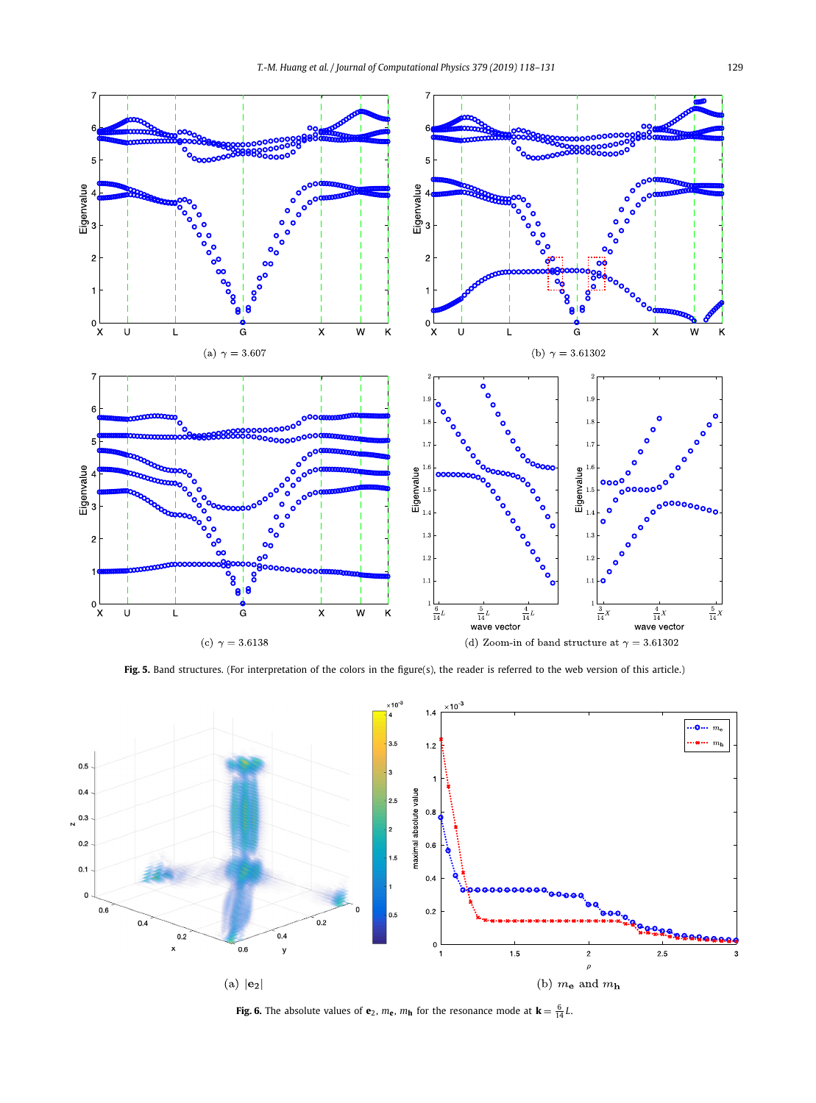<span id="page-11-0"></span>

Fig. 5. Band structures. (For interpretation of the colors in the figure(s), the reader is referred to the web version of this article.)



**Fig. 6.** The absolute values of **e**<sub>2</sub>,  $m$ **e**,  $m$ **h** for the resonance mode at  $\mathbf{k} = \frac{6}{14}L$ .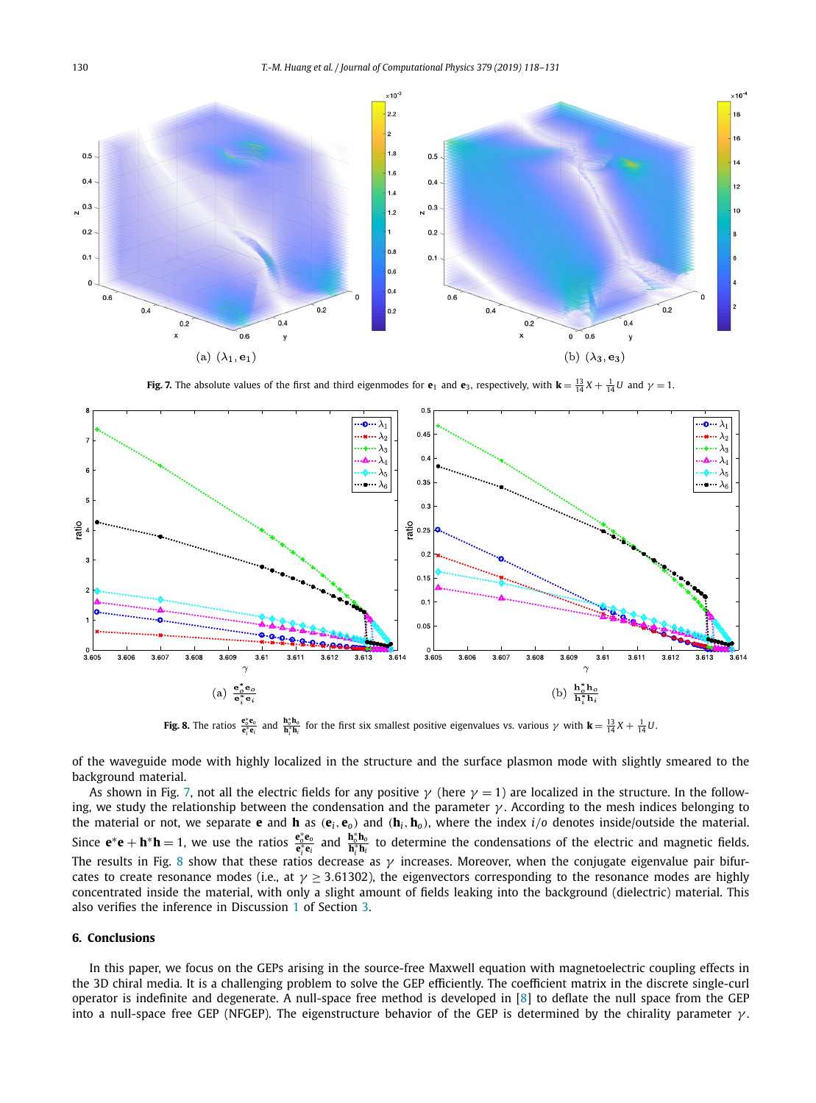<span id="page-12-0"></span>

**Fig. 7.** The absolute values of the first and third eigenmodes for **e**<sub>1</sub> and **e**<sub>3</sub>, respectively, with  $\mathbf{k} = \frac{13}{14}X + \frac{1}{14}U$  and  $\gamma = 1$ .



**Fig. 8.** The ratios  $\frac{e_0^* e_0}{e_1^* e_i}$  and  $\frac{h_0^* h_0}{h_1^* h_i}$  for the first six smallest positive eigenvalues vs. various  $\gamma$  with  $\mathbf{k} = \frac{13}{14}X + \frac{1}{14}U$ .

of the waveguide mode with highly localized in the structure and the surface plasmon mode with slightly smeared to the background material.

As shown in Fig. 7, not all the electric fields for any positive  $\gamma$  (here  $\gamma = 1$ ) are localized in the structure. In the following, we study the relationship between the condensation and the parameter *γ* . According to the mesh indices belonging to the material or not, we separate **e** and **h** as  $(e_i, e_o)$  and  $(h_i, h_o)$ , where the index  $i/o$  denotes inside/outside the material. Since  $e^*e + h^*h = 1$ , we use the ratios  $\frac{e_0^*e_0}{e_i^*e_i}$  and  $\frac{h_0^*h_0}{h_i^*h_i}$  to determine the condensations of the electric and magnetic fields. The results in Fig. 8 show that these ratios decrease as *γ* increases. Moreover, when the conjugate eigenvalue pair bifurcates to create resonance modes (i.e., at  $\gamma \geq 3.61302$ ), the eigenvectors corresponding to the resonance modes are highly concentrated inside the material, with only a slight amount of fields leaking into the background (dielectric) material. This also verifies the inference in Discussion [1](#page-5-0) of Section [3.](#page-4-0)

# **6. Conclusions**

In this paper, we focus on the GEPs arising in the source-free Maxwell equation with magnetoelectric coupling effects in the 3D chiral media. It is a challenging problem to solve the GEP efficiently. The coefficient matrix in the discrete single-curl operator is indefinite and degenerate. A null-space free method is developed in [\[8\]](#page-13-0) to deflate the null space from the GEP into a null-space free GEP (NFGEP). The eigenstructure behavior of the GEP is determined by the chirality parameter *γ* .